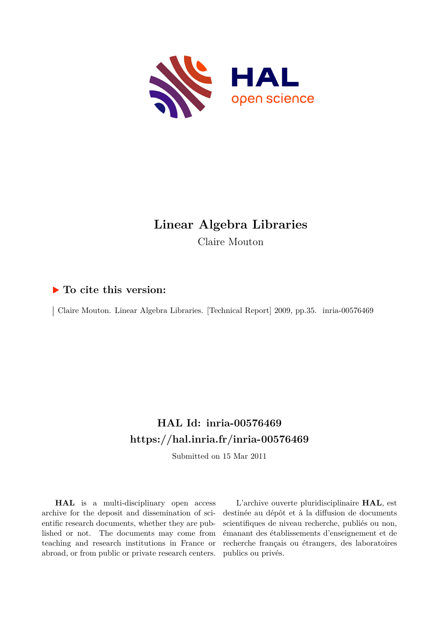

# **Linear Algebra Libraries** Claire Mouton

# **To cite this version:**

| Claire Mouton. Linear Algebra Libraries. [Technical Report] 2009, pp.35. inria-00576469

# **HAL Id: inria-00576469 <https://hal.inria.fr/inria-00576469>**

Submitted on 15 Mar 2011

**HAL** is a multi-disciplinary open access archive for the deposit and dissemination of scientific research documents, whether they are published or not. The documents may come from teaching and research institutions in France or abroad, or from public or private research centers.

L'archive ouverte pluridisciplinaire **HAL**, est destinée au dépôt et à la diffusion de documents scientifiques de niveau recherche, publiés ou non, émanant des établissements d'enseignement et de recherche français ou étrangers, des laboratoires publics ou privés.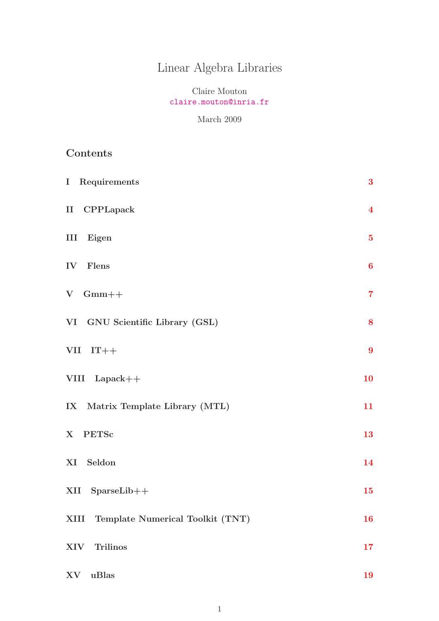# Linear Algebra Libraries

# Claire Mouton <claire.mouton@inria.fr>

### March 2009

# Contents

| I Requirements                        | 3 <sup>1</sup>          |
|---------------------------------------|-------------------------|
| II CPPLapack                          | $\overline{\mathbf{4}}$ |
| III Eigen                             | $\bf{5}$                |
| IV Flens                              | $\boldsymbol{6}$        |
| $V$ Gmm++                             | $\overline{7}$          |
| VI GNU Scientific Library (GSL)       | 8                       |
| $VII$ $IT++$                          | $\boldsymbol{9}$        |
| VIII Lapack++                         | 10                      |
| IX Matrix Template Library (MTL)      | 11                      |
| X PETSc                               | 13                      |
| XI Seldon                             | 14                      |
| SparseLib++<br>XII                    | 15                      |
| XIII Template Numerical Toolkit (TNT) | <b>16</b>               |
| XIV<br><b>Trilinos</b>                | 17                      |
| uBlas<br>XV                           | 19                      |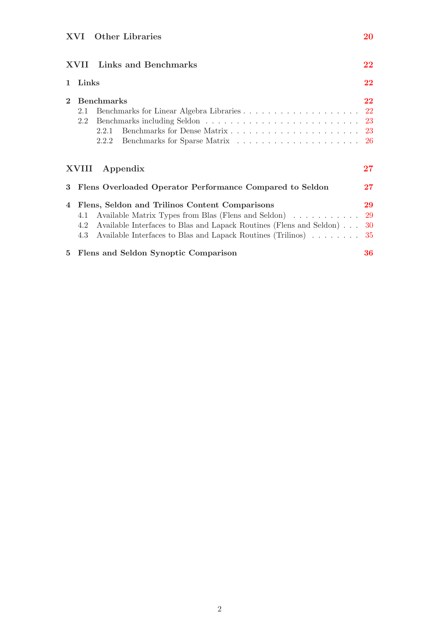|              | <b>XVII</b> Links and Benchmarks                                                                                                                                                                             | 22        |
|--------------|--------------------------------------------------------------------------------------------------------------------------------------------------------------------------------------------------------------|-----------|
|              | Links                                                                                                                                                                                                        | 22        |
| $\mathbf{2}$ | <b>Benchmarks</b><br>2.1<br>2.2<br>2.2.1<br>2.2.2                                                                                                                                                            | $22\,$    |
|              | XVIII Appendix                                                                                                                                                                                               | 27        |
| 3            | Flens Overloaded Operator Performance Compared to Seldon                                                                                                                                                     | $27\,$    |
| 4            | Flens, Seldon and Trilinos Content Comparisons<br>4.1<br>Available Interfaces to Blas and Lapack Routines (Flens and Seldon)<br>4.2<br>Available Interfaces to Blas and Lapack Routines (Trilinos) 35<br>4.3 | 29<br>-30 |
| 5            | Flens and Seldon Synoptic Comparison                                                                                                                                                                         | 36        |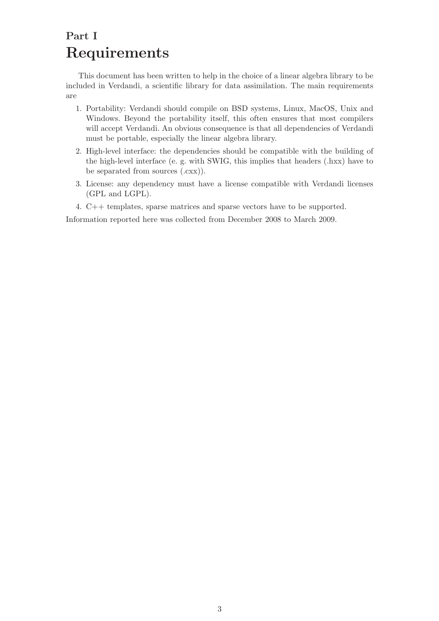# <span id="page-3-0"></span>Part I Requirements

This document has been written to help in the choice of a linear algebra library to be included in Verdandi, a scientific library for data assimilation. The main requirements are

- 1. Portability: Verdandi should compile on BSD systems, Linux, MacOS, Unix and Windows. Beyond the portability itself, this often ensures that most compilers will accept Verdandi. An obvious consequence is that all dependencies of Verdandi must be portable, especially the linear algebra library.
- 2. High-level interface: the dependencies should be compatible with the building of the high-level interface (e. g. with SWIG, this implies that headers (.hxx) have to be separated from sources (.cxx)).
- 3. License: any dependency must have a license compatible with Verdandi licenses (GPL and LGPL).
- 4. C++ templates, sparse matrices and sparse vectors have to be supported.

Information reported here was collected from December 2008 to March 2009.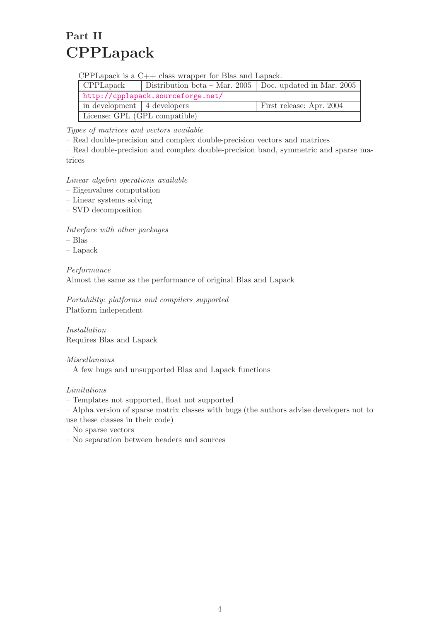# <span id="page-4-0"></span>Part II CPPLapack

CPPLapack is a C++ class wrapper for Blas and Lapack.

| CPPLapack                     | Distribution beta – Mar. 2005   Doc. updated in Mar. 2005 |                          |
|-------------------------------|-----------------------------------------------------------|--------------------------|
|                               | http://cpplapack.sourceforge.net/                         |                          |
| in development   4 developers |                                                           | First release: Apr. 2004 |
| License: GPL (GPL compatible) |                                                           |                          |

Types of matrices and vectors available

– Real double-precision and complex double-precision vectors and matrices

– Real double-precision and complex double-precision band, symmetric and sparse matrices

### Linear algebra operations available

- Eigenvalues computation
- Linear systems solving
- SVD decomposition

Interface with other packages

- Blas
- Lapack

Performance Almost the same as the performance of original Blas and Lapack

Portability: platforms and compilers supported Platform independent

Installation Requires Blas and Lapack

Miscellaneous – A few bugs and unsupported Blas and Lapack functions

Limitations

– Templates not supported, float not supported

– Alpha version of sparse matrix classes with bugs (the authors advise developers not to use these classes in their code)

- No sparse vectors
- No separation between headers and sources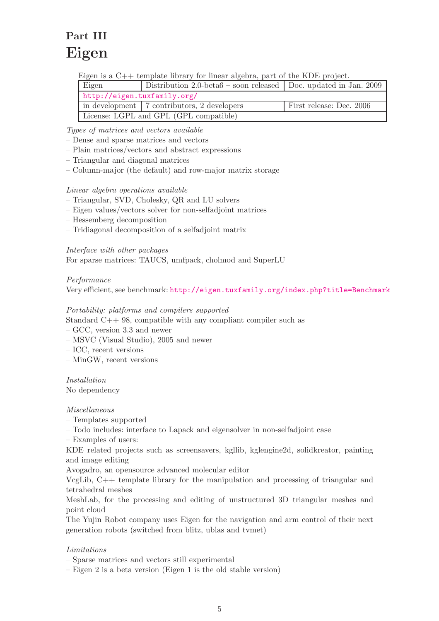# <span id="page-5-0"></span>Part III Eigen

Eigen is a C++ template library for linear algebra, part of the KDE project.

| Eigen                                  | Distribution 2.0-beta6 – soon released Doc. updated in Jan. 2009 |                          |
|----------------------------------------|------------------------------------------------------------------|--------------------------|
| http://eigen.tuxfamily.org/            |                                                                  |                          |
|                                        | in development   7 contributors, 2 developers                    | First release: Dec. 2006 |
| License: LGPL and GPL (GPL compatible) |                                                                  |                          |

Types of matrices and vectors available

- Dense and sparse matrices and vectors
- Plain matrices/vectors and abstract expressions
- Triangular and diagonal matrices
- Column-major (the default) and row-major matrix storage

### Linear algebra operations available

- Triangular, SVD, Cholesky, QR and LU solvers
- Eigen values/vectors solver for non-selfadjoint matrices
- Hessemberg decomposition
- Tridiagonal decomposition of a selfadjoint matrix

### Interface with other packages

For sparse matrices: TAUCS, umfpack, cholmod and SuperLU

### Performance

Very efficient, see benchmark: <http://eigen.tuxfamily.org/index.php?title=Benchmark>

### Portability: platforms and compilers supported

- Standard C++ 98, compatible with any compliant compiler such as
- GCC, version 3.3 and newer
- MSVC (Visual Studio), 2005 and newer
- ICC, recent versions
- MinGW, recent versions

Installation No dependency

#### Miscellaneous

- Templates supported
- Todo includes: interface to Lapack and eigensolver in non-selfadjoint case

– Examples of users:

KDE related projects such as screensavers, kgllib, kglengine2d, solidkreator, painting and image editing

Avogadro, an opensource advanced molecular editor

VcgLib, C++ template library for the manipulation and processing of triangular and tetrahedral meshes

MeshLab, for the processing and editing of unstructured 3D triangular meshes and point cloud

The Yujin Robot company uses Eigen for the navigation and arm control of their next generation robots (switched from blitz, ublas and tvmet)

### Limitations

– Sparse matrices and vectors still experimental

– Eigen 2 is a beta version (Eigen 1 is the old stable version)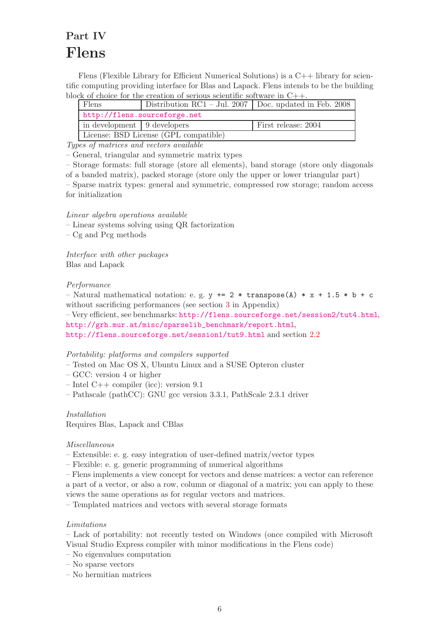# <span id="page-6-0"></span>Part IV Flens

Flens (Flexible Library for Efficient Numerical Solutions) is a  $C++$  library for scientific computing providing interface for Blas and Lapack. Flens intends to be the building block of choice for the creation of serious scientific software in  $C++$ .

| Flens                                 | Distribution RC1 – Jul. 2007   Doc. updated in Feb. 2008 |                     |
|---------------------------------------|----------------------------------------------------------|---------------------|
|                                       | http://flens.sourceforge.net                             |                     |
| in development 9 developers           |                                                          | First release: 2004 |
| License: BSD License (GPL compatible) |                                                          |                     |

Types of matrices and vectors available

– General, triangular and symmetric matrix types

– Storage formats: full storage (store all elements), band storage (store only diagonals of a banded matrix), packed storage (store only the upper or lower triangular part)

– Sparse matrix types: general and symmetric, compressed row storage; random access for initialization

Linear algebra operations available

– Linear systems solving using QR factorization

– Cg and Pcg methods

Interface with other packages Blas and Lapack

### Performance

– Natural mathematical notation: e. g.  $y \leftrightarrow 2 \times \text{transpose(A)} \times x + 1.5 \times b + c$ without sacrificing performances (see section [3](#page-27-1) in Appendix)

– Very efficient, see benchmarks: <http://flens.sourceforge.net/session2/tut4.html>, [http://grh.mur.at/misc/sparselib\\_benchmark/report.html](http://grh.mur.at/misc/sparselib_benchmark/report.html),

<http://flens.sourceforge.net/session1/tut9.html> and section [2.2](#page-23-0)

#### Portability: platforms and compilers supported

- Tested on Mac OS X, Ubuntu Linux and a SUSE Opteron cluster
- GCC: version 4 or higher
- Intel C++ compiler (icc): version 9.1
- Pathscale (pathCC): GNU gcc version 3.3.1, PathScale 2.3.1 driver

Installation

Requires Blas, Lapack and CBlas

#### Miscellaneous

- Extensible: e. g. easy integration of user-defined matrix/vector types
- Flexible: e. g. generic programming of numerical algorithms

– Flens implements a view concept for vectors and dense matrices: a vector can reference a part of a vector, or also a row, column or diagonal of a matrix; you can apply to these views the same operations as for regular vectors and matrices.

– Templated matrices and vectors with several storage formats

### Limitations

– Lack of portability: not recently tested on Windows (once compiled with Microsoft Visual Studio Express compiler with minor modifications in the Flens code)

- No eigenvalues computation
- No sparse vectors
- No hermitian matrices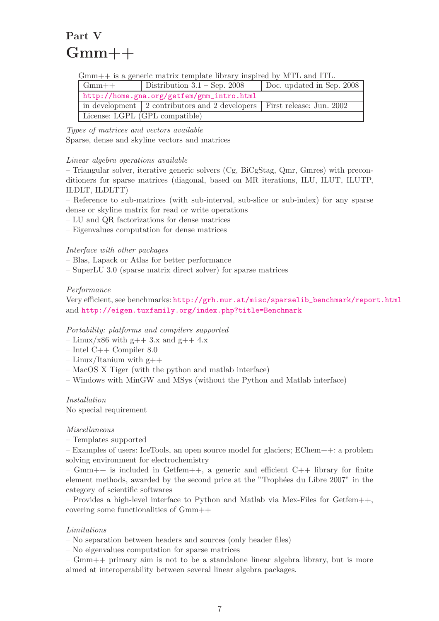# <span id="page-7-0"></span>Part V  $Gmm++$

Gmm++ is a generic matrix template library inspired by MTL and ITL.

| $Gmm++$ | Distribution $3.1 - \text{Sep. } 2008$                                  | Doc. updated in Sep. 2008 |
|---------|-------------------------------------------------------------------------|---------------------------|
|         | http://home.gna.org/getfem/gmm_intro.html                               |                           |
|         | in development 2 contributors and 2 developers First release: Jun. 2002 |                           |
|         | License: LGPL (GPL compatible)                                          |                           |

Types of matrices and vectors available Sparse, dense and skyline vectors and matrices

### Linear algebra operations available

– Triangular solver, iterative generic solvers (Cg, BiCgStag, Qmr, Gmres) with preconditioners for sparse matrices (diagonal, based on MR iterations, ILU, ILUT, ILUTP, ILDLT, ILDLTT)

– Reference to sub-matrices (with sub-interval, sub-slice or sub-index) for any sparse dense or skyline matrix for read or write operations

- LU and QR factorizations for dense matrices
- Eigenvalues computation for dense matrices

### Interface with other packages

- Blas, Lapack or Atlas for better performance
- SuperLU 3.0 (sparse matrix direct solver) for sparse matrices

### Performance

Very efficient, see benchmarks: [http://grh.mur.at/misc/sparselib\\_benchmark/report.html](http://grh.mur.at/misc/sparselib_benchmark/report.html) and <http://eigen.tuxfamily.org/index.php?title=Benchmark>

#### Portability: platforms and compilers supported

- $-$  Linux/x86 with g++ 3.x and g++ 4.x
- Intel C++ Compiler 8.0
- $-$  Linux/Itanium with  $g$ ++
- MacOS X Tiger (with the python and matlab interface)
- Windows with MinGW and MSys (without the Python and Matlab interface)

Installation

No special requirement

#### Miscellaneous

– Templates supported

– Examples of users: IceTools, an open source model for glaciers; EChem++: a problem solving environment for electrochemistry

–  $Gmm++$  is included in Getfem++, a generic and efficient  $C++$  library for finite element methods, awarded by the second price at the "Trophées du Libre 2007" in the category of scientific softwares

– Provides a high-level interface to Python and Matlab via Mex-Files for Getfem++, covering some functionalities of Gmm++

#### Limitations

– No separation between headers and sources (only header files)

– No eigenvalues computation for sparse matrices

– Gmm++ primary aim is not to be a standalone linear algebra library, but is more aimed at interoperability between several linear algebra packages.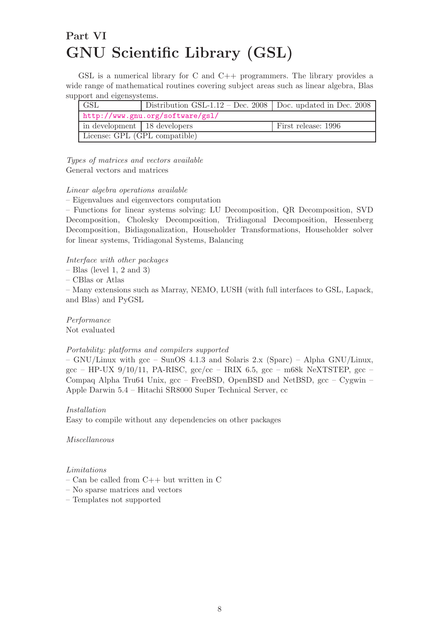# <span id="page-8-0"></span>Part VI GNU Scientific Library (GSL)

GSL is a numerical library for C and  $C_{++}$  programmers. The library provides a wide range of mathematical routines covering subject areas such as linear algebra, Blas support and eigensystems.

| <b>GSL</b>                     | Distribution GSL-1.12 – Dec. 2008   Doc. updated in Dec. 2008 |                     |
|--------------------------------|---------------------------------------------------------------|---------------------|
|                                | http://www.gnu.org/software/gsl/                              |                     |
| in development   18 developers |                                                               | First release: 1996 |
| License: GPL (GPL compatible)  |                                                               |                     |

Types of matrices and vectors available General vectors and matrices

#### Linear algebra operations available

– Eigenvalues and eigenvectors computation

– Functions for linear systems solving: LU Decomposition, QR Decomposition, SVD Decomposition, Cholesky Decomposition, Tridiagonal Decomposition, Hessenberg Decomposition, Bidiagonalization, Householder Transformations, Householder solver for linear systems, Tridiagonal Systems, Balancing

Interface with other packages

 $-$  Blas (level 1, 2 and 3)

– CBlas or Atlas

– Many extensions such as Marray, NEMO, LUSH (with full interfaces to GSL, Lapack, and Blas) and PyGSL

Performance Not evaluated

#### Portability: platforms and compilers supported

– GNU/Linux with gcc – SunOS 4.1.3 and Solaris 2.x (Sparc) – Alpha GNU/Linux, gcc – HP-UX 9/10/11, PA-RISC,  $\frac{\text{gcc}}{\text{c}}$  – IRIX 6.5,  $\frac{\text{gcc}}{\text{c}}$  – m68k NeXTSTEP,  $\frac{\text{gcc}}{\text{c}}$  – Compaq Alpha Tru64 Unix,  $\rm gcc$  – FreeBSD, OpenBSD and NetBSD,  $\rm gcc$  – Cygwin – Apple Darwin 5.4 – Hitachi SR8000 Super Technical Server, cc

#### Installation

Easy to compile without any dependencies on other packages

Miscellaneous

#### Limitations

- Can be called from C++ but written in C
- No sparse matrices and vectors
- Templates not supported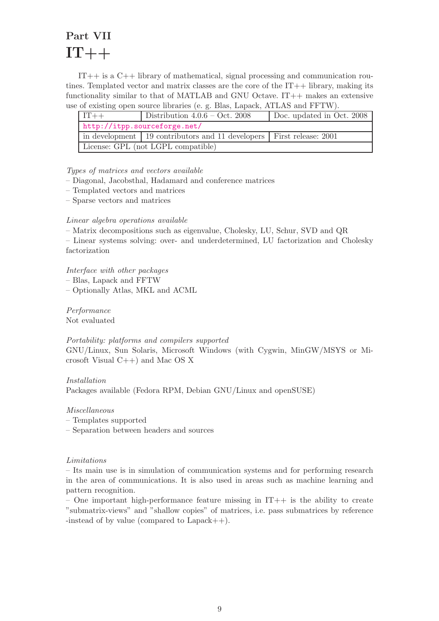# <span id="page-9-0"></span>Part VII  $IT++$

IT++ is a C++ library of mathematical, signal processing and communication routines. Templated vector and matrix classes are the core of the  $IT++$  library, making its functionality similar to that of MATLAB and GNU Octave. IT++ makes an extensive use of existing open source libraries (e. g. Blas, Lapack, ATLAS and FFTW).

| $IT++$                             | Distribution $4.0.6 - Oct. 2008$                                         | Doc. updated in Oct. 2008 |
|------------------------------------|--------------------------------------------------------------------------|---------------------------|
| http://itpp.sourceforge.net/       |                                                                          |                           |
|                                    | in development   19 contributors and 11 developers   First release: 2001 |                           |
| License: GPL (not LGPL compatible) |                                                                          |                           |

#### Types of matrices and vectors available

- Diagonal, Jacobsthal, Hadamard and conference matrices
- Templated vectors and matrices
- Sparse vectors and matrices

#### Linear algebra operations available

– Matrix decompositions such as eigenvalue, Cholesky, LU, Schur, SVD and QR

– Linear systems solving: over- and underdetermined, LU factorization and Cholesky factorization

Interface with other packages

– Blas, Lapack and FFTW

– Optionally Atlas, MKL and ACML

Performance Not evaluated

#### Portability: platforms and compilers supported

GNU/Linux, Sun Solaris, Microsoft Windows (with Cygwin, MinGW/MSYS or Microsoft Visual C++) and Mac OS X

Installation Packages available (Fedora RPM, Debian GNU/Linux and openSUSE)

Miscellaneous

– Templates supported

– Separation between headers and sources

#### Limitations

– Its main use is in simulation of communication systems and for performing research in the area of communications. It is also used in areas such as machine learning and pattern recognition.

– One important high-performance feature missing in  $IT++$  is the ability to create "submatrix-views" and "shallow copies" of matrices, i.e. pass submatrices by reference -instead of by value (compared to Lapack++).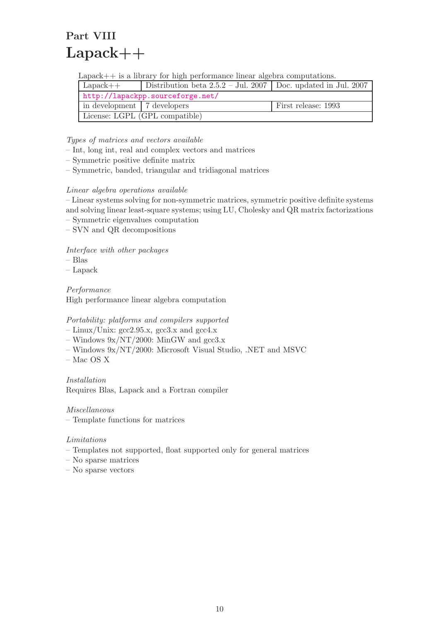# <span id="page-10-0"></span>Part VIII  $Lapack++$

Lapack++ is a library for high performance linear algebra computations.

| $Lapack++$                     | Distribution beta $2.5.2 - \text{Jul. } 2007$ Doc. updated in Jul. 2007 |                     |
|--------------------------------|-------------------------------------------------------------------------|---------------------|
|                                | http://lapackpp.sourceforge.net/                                        |                     |
| in development 7 developers    |                                                                         | First release: 1993 |
| License: LGPL (GPL compatible) |                                                                         |                     |

Types of matrices and vectors available

- Int, long int, real and complex vectors and matrices
- Symmetric positive definite matrix
- Symmetric, banded, triangular and tridiagonal matrices

### Linear algebra operations available

– Linear systems solving for non-symmetric matrices, symmetric positive definite systems and solving linear least-square systems; using LU, Cholesky and QR matrix factorizations

- Symmetric eigenvalues computation
- SVN and QR decompositions

Interface with other packages

- Blas
- Lapack

Performance High performance linear algebra computation

#### Portability: platforms and compilers supported

- $-$  Linux/Unix:  $\rm gcc2.95.x, \rm gcc3.x$  and  $\rm gcc4.x$
- Windows  $9x/NT/2000$ : MinGW and gcc3.x
- Windows 9x/NT/2000: Microsoft Visual Studio, .NET and MSVC
- Mac OS X

Installation Requires Blas, Lapack and a Fortran compiler

Miscellaneous

– Template functions for matrices

#### Limitations

- Templates not supported, float supported only for general matrices
- No sparse matrices
- No sparse vectors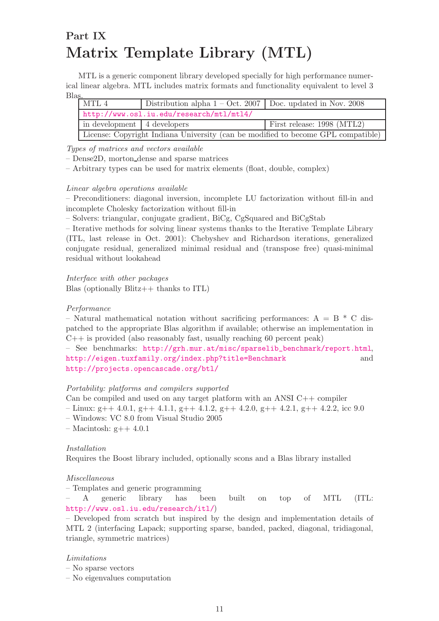# <span id="page-11-0"></span>Part IX Matrix Template Library (MTL)

MTL is a generic component library developed specially for high performance numerical linear algebra. MTL includes matrix formats and functionality equivalent to level 3 Blas.

| MTL 4                                                                            | Distribution alpha $1 - Oct. 2007$ Doc. updated in Nov. 2008 |  |
|----------------------------------------------------------------------------------|--------------------------------------------------------------|--|
|                                                                                  | http://www.osl.iu.edu/research/mtl/mtl4/                     |  |
| First release: 1998 (MTL2)<br>in development   4 developers                      |                                                              |  |
| License: Copyright Indiana University (can be modified to become GPL compatible) |                                                              |  |

Types of matrices and vectors available

– Dense2D, morton dense and sparse matrices

– Arbitrary types can be used for matrix elements (float, double, complex)

#### Linear algebra operations available

– Preconditioners: diagonal inversion, incomplete LU factorization without fill-in and incomplete Cholesky factorization without fill-in

– Solvers: triangular, conjugate gradient, BiCg, CgSquared and BiCgStab

– Iterative methods for solving linear systems thanks to the Iterative Template Library (ITL, last release in Oct. 2001): Chebyshev and Richardson iterations, generalized conjugate residual, generalized minimal residual and (transpose free) quasi-minimal residual without lookahead

Interface with other packages Blas (optionally  $\text{Blitz++}$  thanks to ITL)

#### Performance

– Natural mathematical notation without sacrificing performances:  $A = B * C$  dispatched to the appropriate Blas algorithm if available; otherwise an implementation in C++ is provided (also reasonably fast, usually reaching 60 percent peak)

– See benchmarks: [http://grh.mur.at/misc/sparselib\\_benchmark/report.html](http://grh.mur.at/misc/sparselib_benchmark/report.html), <http://eigen.tuxfamily.org/index.php?title=Benchmark> and <http://projects.opencascade.org/btl/>

#### Portability: platforms and compilers supported

Can be compiled and used on any target platform with an ANSI  $C++$  compiler

- $-$  Linux: g++ 4.0.1, g++ 4.1.1, g++ 4.1.2, g++ 4.2.0, g++ 4.2.1, g++ 4.2.2, icc 9.0
- Windows: VC 8.0 from Visual Studio 2005
- Macintosh: g++ 4.0.1

#### Installation

Requires the Boost library included, optionally scons and a Blas library installed

#### Miscellaneous

– Templates and generic programming

– A generic library has been built on top of MTL (ITL: <http://www.osl.iu.edu/research/itl/>)

– Developed from scratch but inspired by the design and implementation details of MTL 2 (interfacing Lapack; supporting sparse, banded, packed, diagonal, tridiagonal, triangle, symmetric matrices)

#### Limitations

– No sparse vectors

– No eigenvalues computation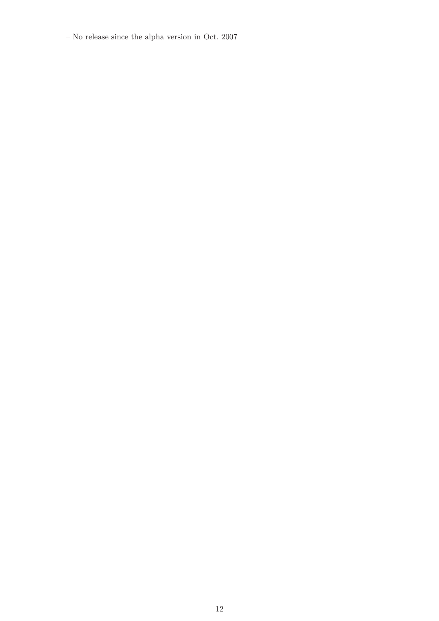– No release since the alpha version in Oct. 2007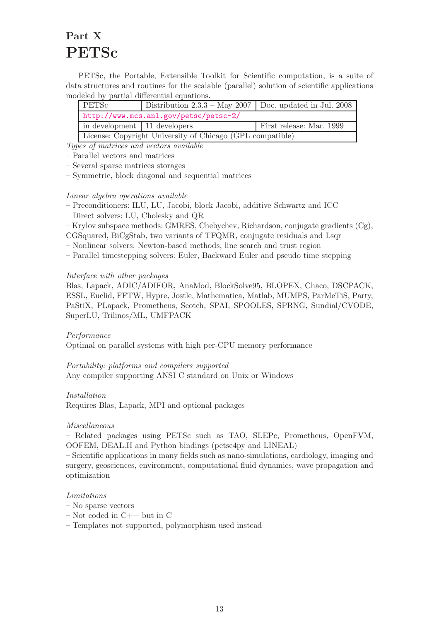# <span id="page-13-0"></span>Part X PETSc

PETSc, the Portable, Extensible Toolkit for Scientific computation, is a suite of data structures and routines for the scalable (parallel) solution of scientific applications modeled by partial differential equations.

| PETSc                                                     | Distribution 2.3.3 – May 2007   Doc. updated in Jul. 2008 |                          |
|-----------------------------------------------------------|-----------------------------------------------------------|--------------------------|
|                                                           | http://www.mcs.anl.gov/petsc/petsc-2/                     |                          |
| in development   11 developers                            |                                                           | First release: Mar. 1999 |
| License: Copyright University of Chicago (GPL compatible) |                                                           |                          |

Types of matrices and vectors available

- Parallel vectors and matrices
- Several sparse matrices storages
- Symmetric, block diagonal and sequential matrices

#### Linear algebra operations available

- Preconditioners: ILU, LU, Jacobi, block Jacobi, additive Schwartz and ICC
- Direct solvers: LU, Cholesky and QR
- Krylov subspace methods: GMRES, Chebychev, Richardson, conjugate gradients (Cg),
- CGSquared, BiCgStab, two variants of TFQMR, conjugate residuals and Lsqr
- Nonlinear solvers: Newton-based methods, line search and trust region
- Parallel timestepping solvers: Euler, Backward Euler and pseudo time stepping

#### Interface with other packages

Blas, Lapack, ADIC/ADIFOR, AnaMod, BlockSolve95, BLOPEX, Chaco, DSCPACK, ESSL, Euclid, FFTW, Hypre, Jostle, Mathematica, Matlab, MUMPS, ParMeTiS, Party, PaStiX, PLapack, Prometheus, Scotch, SPAI, SPOOLES, SPRNG, Sundial/CVODE, SuperLU, Trilinos/ML, UMFPACK

#### Performance

Optimal on parallel systems with high per-CPU memory performance

Portability: platforms and compilers supported Any compiler supporting ANSI C standard on Unix or Windows

#### Installation

Requires Blas, Lapack, MPI and optional packages

#### Miscellaneous

– Related packages using PETSc such as TAO, SLEPc, Prometheus, OpenFVM, OOFEM, DEAL.II and Python bindings (petsc4py and LINEAL)

– Scientific applications in many fields such as nano-simulations, cardiology, imaging and surgery, geosciences, environment, computational fluid dynamics, wave propagation and optimization

#### Limitations

- No sparse vectors
- $-$  Not coded in  $C++$  but in  $C$
- Templates not supported, polymorphism used instead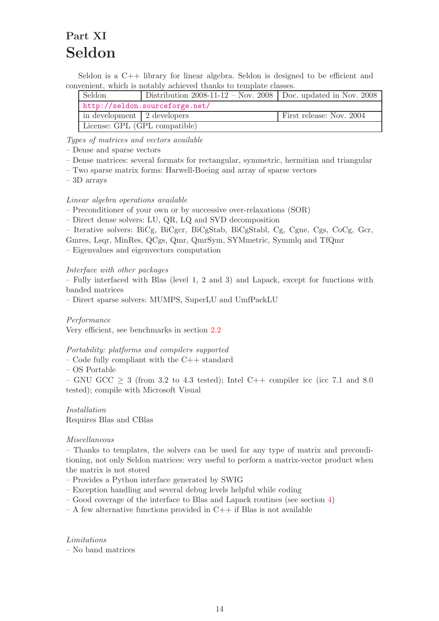# <span id="page-14-0"></span>Part XI Seldon

Seldon is a C++ library for linear algebra. Seldon is designed to be efficient and convenient, which is notably achieved thanks to template classes.

| Seldon                                                  | Distribution 2008-11-12 – Nov. 2008   Doc. updated in Nov. 2008 |  |
|---------------------------------------------------------|-----------------------------------------------------------------|--|
|                                                         | http://seldon.sourceforge.net/                                  |  |
| in development 2 developers<br>First release: Nov. 2004 |                                                                 |  |
| License: GPL (GPL compatible)                           |                                                                 |  |

Types of matrices and vectors available

– Dense and sparse vectors

- Dense matrices: several formats for rectangular, symmetric, hermitian and triangular
- Two sparse matrix forms: Harwell-Boeing and array of sparse vectors

– 3D arrays

#### Linear algebra operations available

– Preconditioner of your own or by successive over-relaxations (SOR)

– Direct dense solvers: LU, QR, LQ and SVD decomposition

– Iterative solvers: BiCg, BiCgcr, BiCgStab, BiCgStabl, Cg, Cgne, Cgs, CoCg, Gcr,

Gmres, Lsqr, MinRes, QCgs, Qmr, QmrSym, SYMmetric, Symmlq and TfQmr

– Eigenvalues and eigenvectors computation

#### Interface with other packages

– Fully interfaced with Blas (level 1, 2 and 3) and Lapack, except for functions with banded matrices

– Direct sparse solvers: MUMPS, SuperLU and UmfPackLU

#### Performance

Very efficient, see benchmarks in section [2.2](#page-23-0)

#### Portability: platforms and compilers supported

- Code fully compliant with the C++ standard
- OS Portable

– GNU GCC  $\geq$  3 (from 3.2 to 4.3 tested); Intel C++ compiler icc (icc 7.1 and 8.0 tested); compile with Microsoft Visual

Installation Requires Blas and CBlas

#### Miscellaneous

– Thanks to templates, the solvers can be used for any type of matrix and preconditioning, not only Seldon matrices: very useful to perform a matrix-vector product when the matrix is not stored

- Provides a Python interface generated by SWIG
- Exception handling and several debug levels helpful while coding
- Good coverage of the interface to Blas and Lapack routines (see section [4\)](#page-29-0)
- $A$  few alternative functions provided in  $C_{++}$  if Blas is not available

Limitations – No band matrices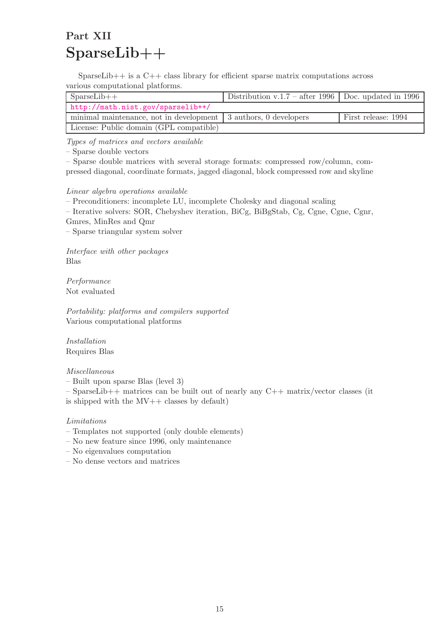# <span id="page-15-0"></span>Part XII SparseLib++

SparseLib $++$  is a  $C++$  class library for efficient sparse matrix computations across various computational platforms.

| $SparseLib++$                                                     | Distribution v.1.7 – after 1996   Doc. updated in 1996 |                     |
|-------------------------------------------------------------------|--------------------------------------------------------|---------------------|
| http://math.nist.gov/sparselib++/                                 |                                                        |                     |
| minimal maintenance, not in development   3 authors, 0 developers |                                                        | First release: 1994 |
| License: Public domain (GPL compatible)                           |                                                        |                     |

Types of matrices and vectors available

– Sparse double vectors

– Sparse double matrices with several storage formats: compressed row/column, compressed diagonal, coordinate formats, jagged diagonal, block compressed row and skyline

Linear algebra operations available

– Preconditioners: incomplete LU, incomplete Cholesky and diagonal scaling

– Iterative solvers: SOR, Chebyshev iteration, BiCg, BiBgStab, Cg, Cgne, Cgne, Cgnr,

Gmres, MinRes and Qmr

– Sparse triangular system solver

Interface with other packages Blas

Performance Not evaluated

Portability: platforms and compilers supported Various computational platforms

Installation Requires Blas

#### Miscellaneous

– Built upon sparse Blas (level 3)

– SparseLib++ matrices can be built out of nearly any C++ matrix/vector classes (it is shipped with the  $MV++$  classes by default)

### Limitations

- Templates not supported (only double elements)
- No new feature since 1996, only maintenance
- No eigenvalues computation
- No dense vectors and matrices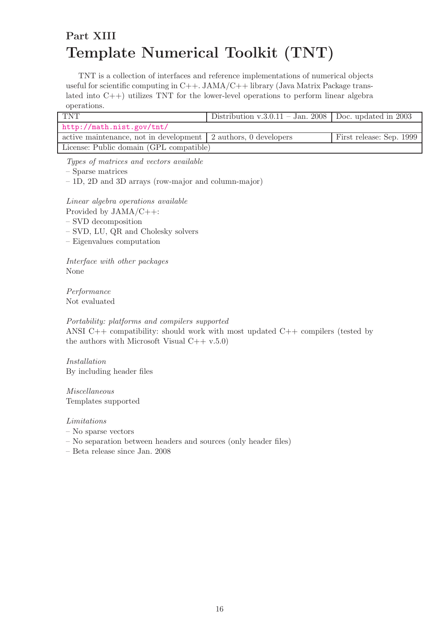# <span id="page-16-0"></span>Part XIII Template Numerical Toolkit (TNT)

TNT is a collection of interfaces and reference implementations of numerical objects useful for scientific computing in C++. JAMA/C++ library (Java Matrix Package translated into C++) utilizes TNT for the lower-level operations to perform linear algebra operations.

| <b>TNT</b>                                                                                   | Distribution v.3.0.11 – Jan. 2008   Doc. updated in 2003 |  |  |  |  |  |  |  |
|----------------------------------------------------------------------------------------------|----------------------------------------------------------|--|--|--|--|--|--|--|
| http://math.nist.gov/tnt/                                                                    |                                                          |  |  |  |  |  |  |  |
| active maintenance, not in development   2 authors, 0 developers<br>First release: Sep. 1999 |                                                          |  |  |  |  |  |  |  |
| License: Public domain (GPL compatible)                                                      |                                                          |  |  |  |  |  |  |  |

Types of matrices and vectors available

– Sparse matrices

– 1D, 2D and 3D arrays (row-major and column-major)

Linear algebra operations available

Provided by JAMA/C++:

– SVD decomposition

– SVD, LU, QR and Cholesky solvers

– Eigenvalues computation

Interface with other packages None

Performance Not evaluated

Portability: platforms and compilers supported ANSI  $C++$  compatibility: should work with most updated  $C++$  compilers (tested by the authors with Microsoft Visual  $C++ v.5.0$ )

Installation By including header files

Miscellaneous Templates supported

#### Limitations

- No sparse vectors
- No separation between headers and sources (only header files)

– Beta release since Jan. 2008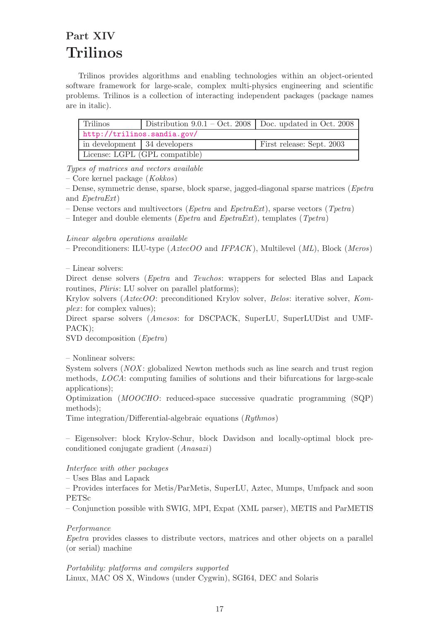# <span id="page-17-0"></span>Part XIV Trilinos

Trilinos provides algorithms and enabling technologies within an object-oriented software framework for large-scale, complex multi-physics engineering and scientific problems. Trilinos is a collection of interacting independent packages (package names are in italic).

| Trilinos                       | Distribution $9.0.1 - \text{Oct. } 2008$ Doc. updated in Oct. 2008 |                           |
|--------------------------------|--------------------------------------------------------------------|---------------------------|
| http://trilinos.sandia.gov/    |                                                                    |                           |
| in development   34 developers |                                                                    | First release: Sept. 2003 |
|                                | License: LGPL (GPL compatible)                                     |                           |

Types of matrices and vectors available

– Core kernel package (Kokkos)

 $-$  Dense, symmetric dense, sparse, block sparse, jagged-diagonal sparse matrices (*Epetra*) and EpetraExt)

– Dense vectors and multivectors (*Epetra* and *EpetraExt*), sparse vectors (*Tpetra*)

– Integer and double elements (*Epetra* and *EpetraExt*), templates (*Tpetra*)

Linear algebra operations available

– Preconditioners: ILU-type ( $AztecOO$  and IFPACK), Multilevel (ML), Block (Meros)

– Linear solvers:

Direct dense solvers (Epetra and Teuchos: wrappers for selected Blas and Lapack routines, *Pliris*: LU solver on parallel platforms);

Krylov solvers (AztecOO: preconditioned Krylov solver, Belos: iterative solver, Kom $plex:$  for complex values);

Direct sparse solvers (Amesos: for DSCPACK, SuperLU, SuperLUDist and UMF-PACK);

SVD decomposition (Epetra)

– Nonlinear solvers:

System solvers (NOX: globalized Newton methods such as line search and trust region methods, LOCA: computing families of solutions and their bifurcations for large-scale applications);

Optimization (MOOCHO: reduced-space successive quadratic programming (SQP) methods);

Time integration/Differential-algebraic equations (Rythmos)

– Eigensolver: block Krylov-Schur, block Davidson and locally-optimal block preconditioned conjugate gradient (Anasazi)

Interface with other packages

– Uses Blas and Lapack

– Provides interfaces for Metis/ParMetis, SuperLU, Aztec, Mumps, Umfpack and soon PETSc

– Conjunction possible with SWIG, MPI, Expat (XML parser), METIS and ParMETIS

Performance

Epetra provides classes to distribute vectors, matrices and other objects on a parallel (or serial) machine

Portability: platforms and compilers supported Linux, MAC OS X, Windows (under Cygwin), SGI64, DEC and Solaris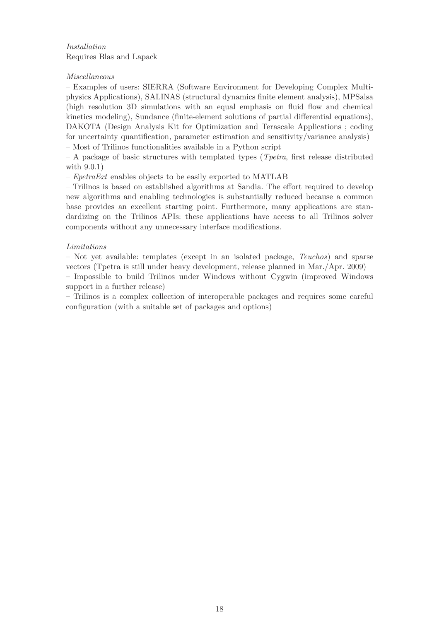### Installation Requires Blas and Lapack

### Miscellaneous

– Examples of users: SIERRA (Software Environment for Developing Complex Multiphysics Applications), SALINAS (structural dynamics finite element analysis), MPSalsa (high resolution 3D simulations with an equal emphasis on fluid flow and chemical kinetics modeling), Sundance (finite-element solutions of partial differential equations), DAKOTA (Design Analysis Kit for Optimization and Terascale Applications ; coding for uncertainty quantification, parameter estimation and sensitivity/variance analysis) – Most of Trilinos functionalities available in a Python script

 $-$  A package of basic structures with templated types (*T petra*, first release distributed with 9.0.1)

 $-$  *EpetraExt* enables objects to be easily exported to MATLAB

– Trilinos is based on established algorithms at Sandia. The effort required to develop new algorithms and enabling technologies is substantially reduced because a common base provides an excellent starting point. Furthermore, many applications are standardizing on the Trilinos APIs: these applications have access to all Trilinos solver components without any unnecessary interface modifications.

### Limitations

– Not yet available: templates (except in an isolated package,  $Teuchos$ ) and sparse vectors (Tpetra is still under heavy development, release planned in Mar./Apr. 2009)

– Impossible to build Trilinos under Windows without Cygwin (improved Windows support in a further release)

– Trilinos is a complex collection of interoperable packages and requires some careful configuration (with a suitable set of packages and options)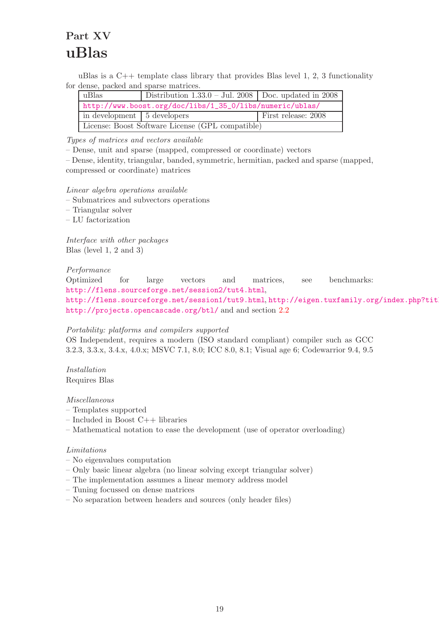# <span id="page-19-0"></span>Part XV uBlas

uBlas is a  $C++$  template class library that provides Blas level 1, 2, 3 functionality for dense, packed and sparse matrices.

| uBlas                                                    | Distribution $1.33.0 - \text{Jul. } 2008$ Doc. updated in 2008 |  |  |  |  |  |  |  |  |  |
|----------------------------------------------------------|----------------------------------------------------------------|--|--|--|--|--|--|--|--|--|
| http://www.boost.org/doc/libs/1_35_0/libs/numeric/ublas/ |                                                                |  |  |  |  |  |  |  |  |  |
| First release: 2008<br>in development   5 developers     |                                                                |  |  |  |  |  |  |  |  |  |
|                                                          | License: Boost Software License (GPL compatible)               |  |  |  |  |  |  |  |  |  |

Types of matrices and vectors available

– Dense, unit and sparse (mapped, compressed or coordinate) vectors

– Dense, identity, triangular, banded, symmetric, hermitian, packed and sparse (mapped, compressed or coordinate) matrices

Linear algebra operations available

- Submatrices and subvectors operations
- Triangular solver
- LU factorization

Interface with other packages Blas (level 1, 2 and 3)

### Performance

Optimized for large vectors and matrices, see benchmarks: <http://flens.sourceforge.net/session2/tut4.html>, <http://flens.sourceforge.net/session1/tut9.html>, [http://eigen.tuxfamily.org/index.php?title](http://eigen.tuxfamily.org/index.php?title=Benchmark) <http://projects.opencascade.org/btl/> and and section [2.2](#page-23-0)

#### Portability: platforms and compilers supported

OS Independent, requires a modern (ISO standard compliant) compiler such as GCC 3.2.3, 3.3.x, 3.4.x, 4.0.x; MSVC 7.1, 8.0; ICC 8.0, 8.1; Visual age 6; Codewarrior 9.4, 9.5

Installation Requires Blas

Miscellaneous

- Templates supported
- Included in Boost C++ libraries
- Mathematical notation to ease the development (use of operator overloading)

#### Limitations

- No eigenvalues computation
- Only basic linear algebra (no linear solving except triangular solver)
- The implementation assumes a linear memory address model
- Tuning focussed on dense matrices
- No separation between headers and sources (only header files)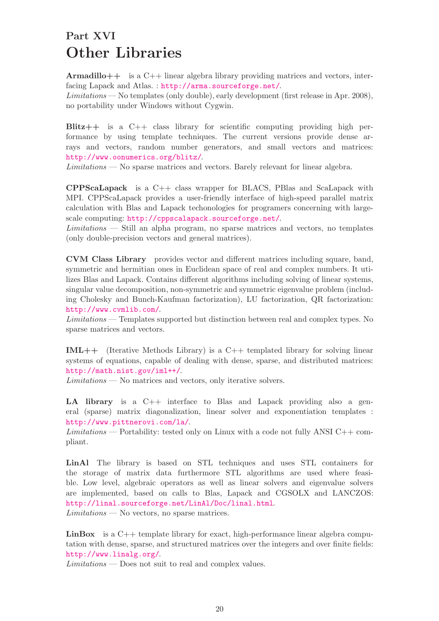# <span id="page-20-0"></span>Part XVI Other Libraries

Armadillo++ is a C++ linear algebra library providing matrices and vectors, interfacing Lapack and Atlas. : <http://arma.sourceforge.net/>.

Limitations — No templates (only double), early development (first release in Apr. 2008), no portability under Windows without Cygwin.

Blitz++ is a C++ class library for scientific computing providing high performance by using template techniques. The current versions provide dense arrays and vectors, random number generators, and small vectors and matrices: <http://www.oonumerics.org/blitz/>.

Limitations — No sparse matrices and vectors. Barely relevant for linear algebra.

CPPScaLapack is a C++ class wrapper for BLACS, PBlas and ScaLapack with MPI. CPPScaLapack provides a user-friendly interface of high-speed parallel matrix calculation with Blas and Lapack techonologies for programers concerning with largescale computing: <http://cppscalapack.sourceforge.net/>.

Limitations — Still an alpha program, no sparse matrices and vectors, no templates (only double-precision vectors and general matrices).

CVM Class Library provides vector and different matrices including square, band, symmetric and hermitian ones in Euclidean space of real and complex numbers. It utilizes Blas and Lapack. Contains different algorithms including solving of linear systems, singular value decomposition, non-symmetric and symmetric eigenvalue problem (including Cholesky and Bunch-Kaufman factorization), LU factorization, QR factorization: <http://www.cvmlib.com/>.

Limitations — Templates supported but distinction between real and complex types. No sparse matrices and vectors.

IML++ (Iterative Methods Library) is a C++ templated library for solving linear systems of equations, capable of dealing with dense, sparse, and distributed matrices: <http://math.nist.gov/iml++/>.

Limitations — No matrices and vectors, only iterative solvers.

LA library is a C++ interface to Blas and Lapack providing also a general (sparse) matrix diagonalization, linear solver and exponentiation templates : <http://www.pittnerovi.com/la/>.

 $Limitations$  — Portability: tested only on Linux with a code not fully ANSI C++ compliant.

LinAl The library is based on STL techniques and uses STL containers for the storage of matrix data furthermore STL algorithms are used where feasible. Low level, algebraic operators as well as linear solvers and eigenvalue solvers are implemented, based on calls to Blas, Lapack and CGSOLX and LANCZOS: <http://linal.sourceforge.net/LinAl/Doc/linal.html>. Limitations — No vectors, no sparse matrices.

**LinBox** is a  $C++$  template library for exact, high-performance linear algebra computation with dense, sparse, and structured matrices over the integers and over finite fields: <http://www.linalg.org/>.

Limitations — Does not suit to real and complex values.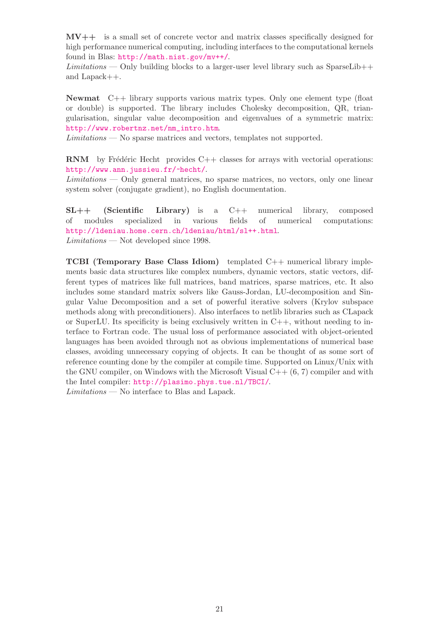MV++ is a small set of concrete vector and matrix classes specifically designed for high performance numerical computing, including interfaces to the computational kernels found in Blas: <http://math.nist.gov/mv++/>.

 $Limitations$  — Only building blocks to a larger-user level library such as SparseLib++ and Lapack++.

Newmat C++ library supports various matrix types. Only one element type (float or double) is supported. The library includes Cholesky decomposition, QR, triangularisation, singular value decomposition and eigenvalues of a symmetric matrix: [http://www.robertnz.net/nm\\_intro.htm](http://www.robertnz.net/nm_intro.htm).

Limitations — No sparse matrices and vectors, templates not supported.

**RNM** by Frédéric Hecht provides  $C++$  classes for arrays with vectorial operations: <http://www.ann.jussieu.fr/~hecht/>.

Limitations — Only general matrices, no sparse matrices, no vectors, only one linear system solver (conjugate gradient), no English documentation.

SL++ (Scientific Library) is a C++ numerical library, composed of modules specialized in various fields of numerical computations: <http://ldeniau.home.cern.ch/ldeniau/html/sl++.html>. Limitations — Not developed since 1998.

TCBI (Temporary Base Class Idiom) templated C++ numerical library implements basic data structures like complex numbers, dynamic vectors, static vectors, different types of matrices like full matrices, band matrices, sparse matrices, etc. It also includes some standard matrix solvers like Gauss-Jordan, LU-decomposition and Singular Value Decomposition and a set of powerful iterative solvers (Krylov subspace methods along with preconditioners). Also interfaces to netlib libraries such as CLapack or SuperLU. Its specificity is being exclusively written in  $C_{++}$ , without needing to interface to Fortran code. The usual loss of performance associated with object-oriented languages has been avoided through not as obvious implementations of numerical base classes, avoiding unnecessary copying of objects. It can be thought of as some sort of reference counting done by the compiler at compile time. Supported on Linux/Unix with the GNU compiler, on Windows with the Microsoft Visual  $C++ (6, 7)$  compiler and with the Intel compiler: <http://plasimo.phys.tue.nl/TBCI/>.

Limitations — No interface to Blas and Lapack.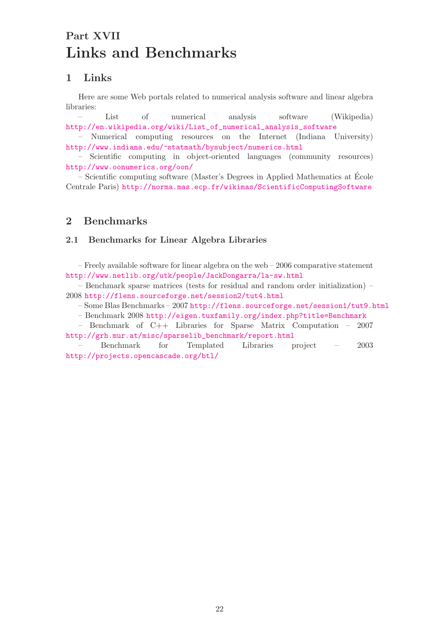# <span id="page-22-0"></span>Part XVII Links and Benchmarks

## <span id="page-22-1"></span>1 Links

Here are some Web portals related to numerical analysis software and linear algebra libraries:

– List of numerical analysis software (Wikipedia) [http://en.wikipedia.org/wiki/List\\_of\\_numerical\\_analysis\\_software](http://en.wikipedia.org/wiki/List_of_numerical_analysis_software)

– Numerical computing resources on the Internet (Indiana University) <http://www.indiana.edu/~statmath/bysubject/numerics.html>

– Scientific computing in object-oriented languages (community resources) <http://www.oonumerics.org/oon/>

– Scientific computing software (Master's Degrees in Applied Mathematics at Ecole ´ Centrale Paris) <http://norma.mas.ecp.fr/wikimas/ScientificComputingSoftware>

## <span id="page-22-3"></span><span id="page-22-2"></span>2 Benchmarks

#### 2.1 Benchmarks for Linear Algebra Libraries

– Freely available software for linear algebra on the web – 2006 comparative statement <http://www.netlib.org/utk/people/JackDongarra/la-sw.html>

– Benchmark sparse matrices (tests for residual and random order initialization) – 2008 <http://flens.sourceforge.net/session2/tut4.html>

– Some Blas Benchmarks – 2007 <http://flens.sourceforge.net/session1/tut9.html>

– Benchmark 2008 <http://eigen.tuxfamily.org/index.php?title=Benchmark>

– Benchmark of C++ Libraries for Sparse Matrix Computation – 2007 [http://grh.mur.at/misc/sparselib\\_benchmark/report.html](http://grh.mur.at/misc/sparselib_benchmark/report.html)

– Benchmark for Templated Libraries project – 2003 <http://projects.opencascade.org/btl/>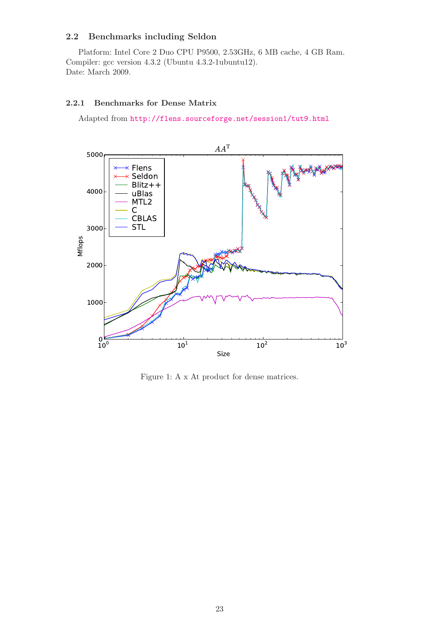### <span id="page-23-0"></span>2.2 Benchmarks including Seldon

Platform: Intel Core 2 Duo CPU P9500, 2.53GHz, 6 MB cache, 4 GB Ram. Compiler: gcc version 4.3.2 (Ubuntu 4.3.2-1ubuntu12). Date: March 2009.

#### <span id="page-23-1"></span>2.2.1 Benchmarks for Dense Matrix

Adapted from <http://flens.sourceforge.net/session1/tut9.html>



Figure 1: A x At product for dense matrices.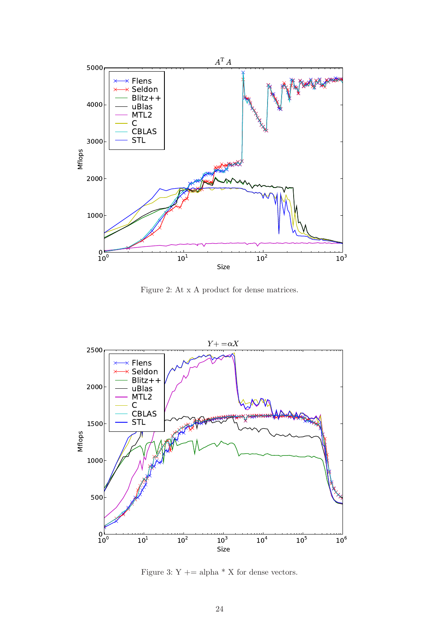

Figure 2: At x A product for dense matrices.



Figure 3: Y  $+=$  alpha  $*$  X for dense vectors.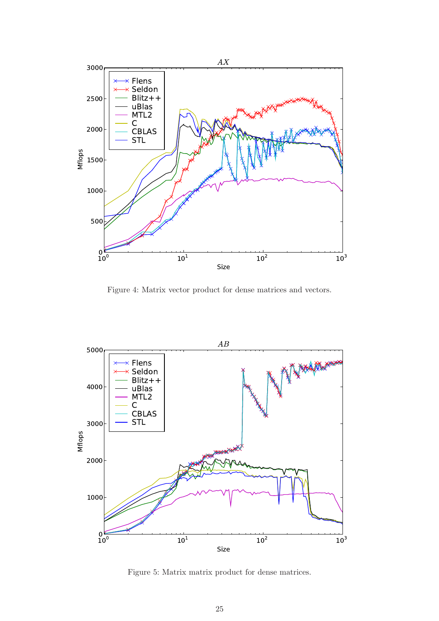

Figure 4: Matrix vector product for dense matrices and vectors.



Figure 5: Matrix matrix product for dense matrices.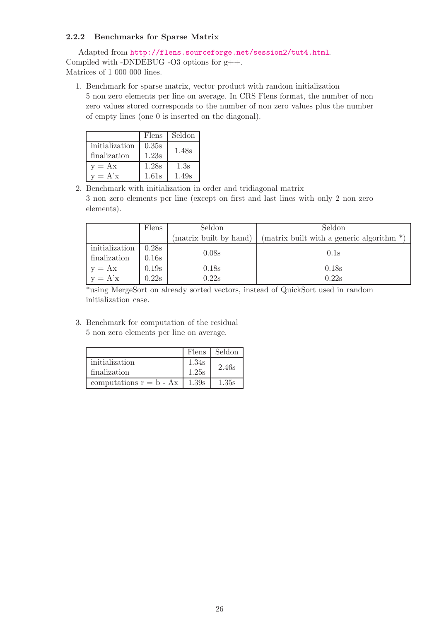### <span id="page-26-0"></span>2.2.2 Benchmarks for Sparse Matrix

Adapted from <http://flens.sourceforge.net/session2/tut4.html>. Compiled with -DNDEBUG -O3 options for  $g$ ++. Matrices of 1 000 000 lines.

1. Benchmark for sparse matrix, vector product with random initialization 5 non zero elements per line on average. In CRS Flens format, the number of non zero values stored corresponds to the number of non zero values plus the number of empty lines (one 0 is inserted on the diagonal).

|                | Flens | Seldon |
|----------------|-------|--------|
| initialization | 0.35s | 1.48s  |
| finalization   | 1.23s |        |
| $v = Ax$       | 1.28s | 1.3s   |
| $v = A'x$      | 1.61s | 1.49s  |

2. Benchmark with initialization in order and tridiagonal matrix 3 non zero elements per line (except on first and last lines with only 2 non zero elements).

|                       | Flens | Seldon                 | Seldon                                        |  |  |  |  |  |
|-----------------------|-------|------------------------|-----------------------------------------------|--|--|--|--|--|
|                       |       | (matrix built by hand) | (matrix built with a generic algorithm $*)$ ) |  |  |  |  |  |
| initialization        | 0.28s | 0.08s                  | 0.1s                                          |  |  |  |  |  |
| finalization          | 0.16s |                        |                                               |  |  |  |  |  |
| $y = Ax$<br>$y = A'x$ | 0.19s | 0.18 <sub>s</sub>      | 0.18s                                         |  |  |  |  |  |
|                       | 0.22s | 0.22s                  | 0.22s                                         |  |  |  |  |  |

\*using MergeSort on already sorted vectors, instead of QuickSort used in random initialization case.

3. Benchmark for computation of the residual 5 non zero elements per line on average.

|                           |       | Flens Seldon |
|---------------------------|-------|--------------|
| initialization            | 1.34s | 2.46s        |
| finalization              | 1.25s |              |
| computations $r = b - Ax$ | 1.39s | 1.35s        |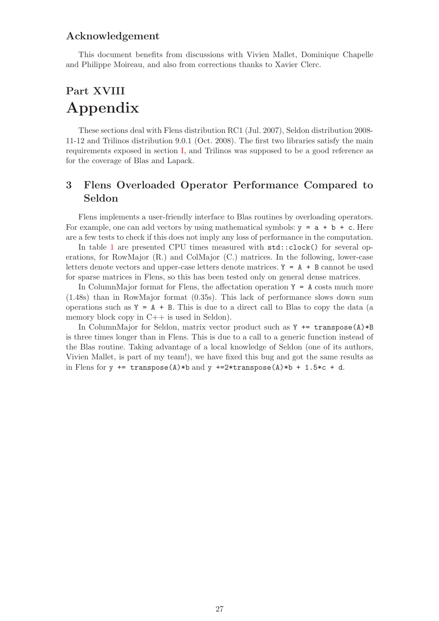## Acknowledgement

This document benefits from discussions with Vivien Mallet, Dominique Chapelle and Philippe Moireau, and also from corrections thanks to Xavier Clerc.

# <span id="page-27-0"></span>Part XVIII Appendix

These sections deal with Flens distribution RC1 (Jul. 2007), Seldon distribution 2008- 11-12 and Trilinos distribution 9.0.1 (Oct. 2008). The first two libraries satisfy the main requirements exposed in section [I,](#page-3-0) and Trilinos was supposed to be a good reference as for the coverage of Blas and Lapack.

## <span id="page-27-1"></span>3 Flens Overloaded Operator Performance Compared to Seldon

Flens implements a user-friendly interface to Blas routines by overloading operators. For example, one can add vectors by using mathematical symbols:  $y = a + b + c$ . Here are a few tests to check if this does not imply any loss of performance in the computation.

In table [1](#page-28-0) are presented CPU times measured with std::clock() for several operations, for RowMajor (R.) and ColMajor (C.) matrices. In the following, lower-case letters denote vectors and upper-case letters denote matrices.  $Y = A + B$  cannot be used for sparse matrices in Flens, so this has been tested only on general dense matrices.

In ColumnMajor format for Flens, the affectation operation  $Y = A$  costs much more (1.48s) than in RowMajor format (0.35s). This lack of performance slows down sum operations such as  $Y = A + B$ . This is due to a direct call to Blas to copy the data (a memory block copy in  $C++$  is used in Seldon).

In ColumnMajor for Seldon, matrix vector product such as  $Y \leftarrow \text{transpose}(A) * B$ is three times longer than in Flens. This is due to a call to a generic function instead of the Blas routine. Taking advantage of a local knowledge of Seldon (one of its authors, Vivien Mallet, is part of my team!), we have fixed this bug and got the same results as in Flens for  $y \leftarrow \text{transpose}(A) * b$  and  $y \leftarrow \text{2*transpose}(A) * b + 1.5 * c + d$ .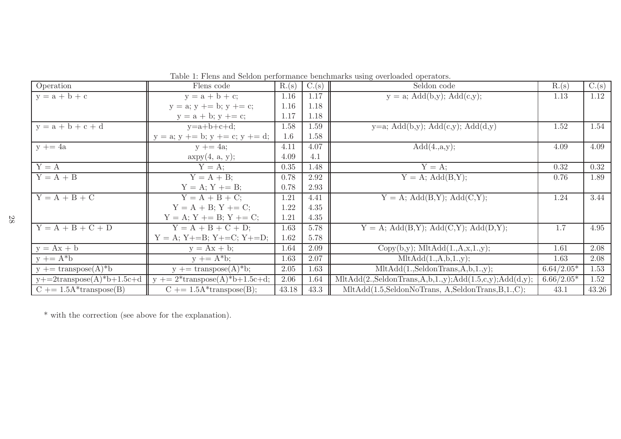| Operation                             | Flens code                                                            | R.(s) | $\overline{C.(s)}$ | Seldon code                                                                                                                   | R.(s)        | C.(s) |
|---------------------------------------|-----------------------------------------------------------------------|-------|--------------------|-------------------------------------------------------------------------------------------------------------------------------|--------------|-------|
| $y = a + b + c$                       | $y = a + b + c;$                                                      | 1.16  | 1.17               | $y = a$ ; Add(b,y); Add(c,y);                                                                                                 | 1.13         | 1.12  |
|                                       | $y = a$ ; $y \rightarrow b$ ; $y \rightarrow c$ ;                     | 1.16  | 1.18               |                                                                                                                               |              |       |
|                                       | $y = a + b$ ; $y += c$ ;                                              | 1.17  | 1.18               |                                                                                                                               |              |       |
| $y = a + b + c + d$                   | $y=a+b+c+d;$                                                          | 1.58  | 1.59               | y=a; Add(b,y); Add(c,y); Add(d,y)                                                                                             | 1.52         | 1.54  |
|                                       | $y = a$ ; $y \rightarrow b$ ; $y \rightarrow c$ ; $y \rightarrow d$ ; | 1.6   | 1.58               |                                                                                                                               |              |       |
| $y \neq 4a$                           | $y \neq 4a$ ;                                                         | 4.11  | 4.07               | Add(4.,a,y);                                                                                                                  | 4.09         | 4.09  |
|                                       | $\exp y(4, a, y);$                                                    | 4.09  | 4.1                |                                                                                                                               |              |       |
| $Y = A$                               | $Y = A$ :                                                             | 0.35  | 1.48               | $Y = A$ ;                                                                                                                     | 0.32         | 0.32  |
| $Y = A + B$                           | $\overline{Y} = A + B;$                                               | 0.78  | 2.92               | $Y = A$ ; $Add(B,Y)$ ;                                                                                                        | 0.76         | 1.89  |
|                                       | $Y = A$ ; $Y \uparrow = B$ ;                                          | 0.78  | 2.93               |                                                                                                                               |              |       |
| $Y = A + B + C$                       | $Y = A + B + C;$                                                      | 1.21  | 4.41               | $Y = A$ ; $Add(B,Y)$ ; $Add(C,Y)$ ;                                                                                           | 1.24         | 3.44  |
|                                       | $Y = A + B$ ; $Y += C$ ;                                              | 1.22  | 4.35               |                                                                                                                               |              |       |
|                                       | $Y = A$ ; $Y += B$ ; $Y += C$ ;                                       | 1.21  | 4.35               |                                                                                                                               |              |       |
| $Y = A + B + C + D$                   | $Y = A + B + C + D;$                                                  | 1.63  | 5.78               | $Y = A$ ; Add(B,Y); Add(C,Y); Add(D,Y);                                                                                       | 1.7          | 4.95  |
|                                       | $Y = A$ ; $Y+=B$ ; $Y+=C$ ; $Y+=D$ ;                                  | 1.62  | 5.78               |                                                                                                                               |              |       |
| $y = Ax + b$                          | $y = Ax + b;$                                                         | 1.64  | 2.09               | $Copy(b,y);$ Mlt $Add(1.,A,x,1.,y);$                                                                                          | 1.61         | 2.08  |
| $y \neq = A^*b$                       | $y \neq A^*b$ ;                                                       | 1.63  | 2.07               | MltAdd(1.,A,b,1.,y);                                                                                                          | 1.63         | 2.08  |
| $y \leftarrow \text{transpose}(A)^*b$ | $y \rightarrow$ transpose(A)*b;                                       | 2.05  | 1.63               | $MltAdd(1.,\text{SeldonTrans},A,b,1.,y);$                                                                                     | $6.64/2.05*$ | 1.53  |
| $y+=2$ transpose $(A)*b+1.5c+d$       | $y$ += 2*transpose(A)*b+1.5c+d;                                       | 2.06  | 1.64               | $\text{MltAdd}(2.\text{SeldonTrans},A,\text{b},1.,\text{y});\text{Add}(1.5,\text{c},\text{y});\text{Add}(\text{d},\text{y});$ | $6.66/2.05*$ | 1.52  |
| $C \neq 1.5A^*$ transpose(B)          | $C \neq 1.5A*transpose(B);$                                           | 43.18 | 43.3               | MltAdd(1.5,SeldonNoTrans, A,SeldonTrans, B,1.,C);                                                                             | 43.1         | 43.26 |

<span id="page-28-0"></span>Table 1: Flens and Seldon performance benchmarks using overloaded operators.

\* with the correction (see above for the explanation).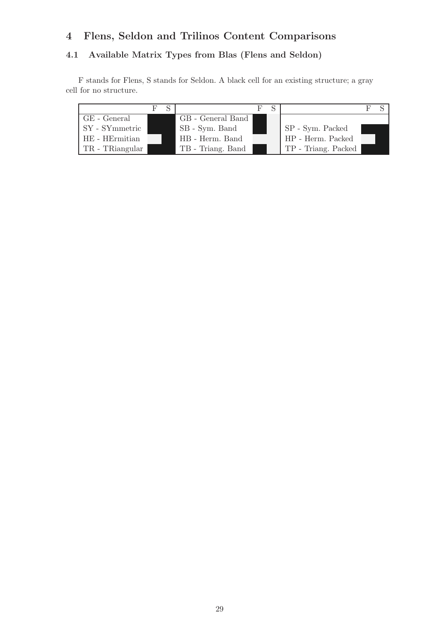# <span id="page-29-0"></span>4 Flens, Seldon and Trilinos Content Comparisons

## <span id="page-29-1"></span>4.1 Available Matrix Types from Blas (Flens and Seldon)

F stands for Flens, S stands for Seldon. A black cell for an existing structure; a gray cell for no structure.

|                 |                   | $F \times$ |                     |  |
|-----------------|-------------------|------------|---------------------|--|
| $GE$ - General  | GB - General Band |            |                     |  |
| SY - SYmmetric  | SB - Sym. Band    |            | SP - Sym. Packed    |  |
| HE - HErmitian  | HB - Herm. Band   |            | HP - Herm. Packed   |  |
| TR - TRiangular | TB - Triang. Band |            | TP - Triang. Packed |  |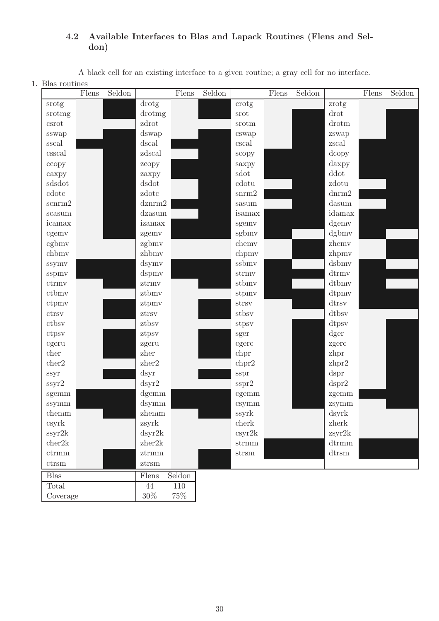## <span id="page-30-0"></span>4.2 Available Interfaces to Blas and Lapack Routines (Flens and Seldon)

A black cell for an existing interface to a given routine; a gray cell for no interface.

1. Blas routines

|              | Flens | Seldon |                                   | Flens  | Seldon |                        | Flens | Seldon |                                     | Flens | Seldon |
|--------------|-------|--------|-----------------------------------|--------|--------|------------------------|-------|--------|-------------------------------------|-------|--------|
| srotg        |       |        | drotg                             |        |        | crotg                  |       |        | zrotg                               |       |        |
| srotmg       |       |        | drotmg                            |        |        | $\mathrm{srot}$        |       |        | drot                                |       |        |
| $\mbox{csc}$ |       |        | zdrot                             |        |        | srotm                  |       |        | $d_{\rm rotm}$                      |       |        |
| sswap        |       |        | dswap                             |        |        | cswap                  |       |        | zswap                               |       |        |
| sscal        |       |        | dscal                             |        |        | cscal                  |       |        | zscal                               |       |        |
| csscal       |       |        | zdscal                            |        |        | scopy                  |       |        | dcopy                               |       |        |
| ccopy        |       |        | zcopy                             |        |        | saxpy                  |       |        | daxpy                               |       |        |
| caxpy        |       |        | zaxpy                             |        |        | sdot                   |       |        | ddot                                |       |        |
| sdsdot       |       |        | dsdot                             |        |        | cdotu                  |       |        | zdotu                               |       |        |
| cdotc        |       |        | zdotc                             |        |        | ${\rm snrm2}$          |       |        | ${\rm d} {\rm n} {\rm r} {\rm m} 2$ |       |        |
| scnrm2       |       |        | dznrm2                            |        |        | sasum                  |       |        | dasum                               |       |        |
| scasum       |       |        | dzasum                            |        |        | isamax                 |       |        | idamax                              |       |        |
| icamax       |       |        | izamax                            |        |        | sgemv                  |       |        | dgemv                               |       |        |
| cgemv        |       |        | zgemv                             |        |        | sgbmv                  |       |        | dgbmv                               |       |        |
| cgbmv        |       |        | zgbmv                             |        |        | chemy                  |       |        | zhemv                               |       |        |
| chbmv        |       |        | zhbmv                             |        |        | chpmv                  |       |        | zhpmv                               |       |        |
| ssymv        |       |        | dsymv                             |        |        | ssbmv                  |       |        | dsbmv                               |       |        |
| sspmv        |       |        | dspmv                             |        |        | strmv                  |       |        | $d$ trmv                            |       |        |
| ctrmv        |       |        | ztrmv                             |        |        | stbmv                  |       |        | dtbmv                               |       |        |
| ctbmv        |       |        | ztbmv                             |        |        | stpmv                  |       |        | dtpmv                               |       |        |
| ctpmv        |       |        | ztpmv                             |        |        | strsv                  |       |        | dtrsv                               |       |        |
| ctrsv        |       |        | ztrsv                             |        |        | stbsv                  |       |        | dtbsv                               |       |        |
| ctbsv        |       |        | ztbsv                             |        |        | stpsv                  |       |        | dtpsv                               |       |        |
| ctpsv        |       |        | ztpsv                             |        |        | sger                   |       |        | dger                                |       |        |
| cgeru        |       |        | zgeru                             |        |        | cgerc                  |       |        | zgerc                               |       |        |
| cher         |       |        | ${\bf z} {\bf h} {\bf e} {\bf r}$ |        |        | chpr                   |       |        | zhpr                                |       |        |
| cher2        |       |        | zher2                             |        |        | chpr2                  |       |        | zhpr2                               |       |        |
| ssyr         |       |        | dsyr                              |        |        | sspr                   |       |        | dspr                                |       |        |
| ssyr2        |       |        | dsyr2                             |        |        | sspr2                  |       |        | dspr2                               |       |        |
| sgemm        |       |        | dgemm                             |        |        | cgemm                  |       |        | zgemm                               |       |        |
| ssymm        |       |        | dsymm                             |        |        | csymm                  |       |        | zsymm                               |       |        |
| chemm        |       |        | zhemm                             |        |        | ssyrk                  |       |        | dsyrk                               |       |        |
| csyrk        |       |        | zsyrk                             |        |        | cherk                  |       |        | $z$ herk                            |       |        |
| ssyr2k       |       |        | dsyr2k                            |        |        | csyr2k                 |       |        | zsyr2k                              |       |        |
| cher2k       |       |        | ${\tt zher2k}$                    |        |        | $\operatorname{strmm}$ |       |        | $d$ trmm                            |       |        |
| ctrmm        |       |        | $\operatorname{ztrmm}$            |        |        | $\mathrm{strsm}$       |       |        | $d$ trsm                            |       |        |
| $ctrsm$      |       |        | $z{\rm trsm}$                     |        |        |                        |       |        |                                     |       |        |
| <b>Blas</b>  |       |        | Flens                             | Seldon |        |                        |       |        |                                     |       |        |
| Total        |       |        | 44                                | 110    |        |                        |       |        |                                     |       |        |
| Coverage     |       |        | $30\%$                            | $75\%$ |        |                        |       |        |                                     |       |        |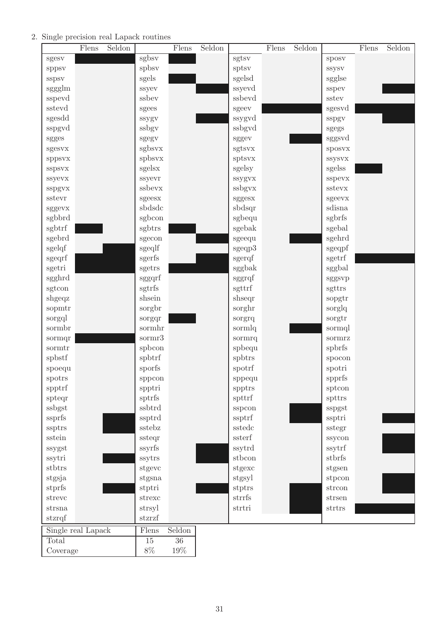### 2. Single precision real Lapack routines

|                    | Flens | Seldon |                         | Flens           | Seldon |                  | Flens | Seldon |                            | Flens | Seldon |
|--------------------|-------|--------|-------------------------|-----------------|--------|------------------|-------|--------|----------------------------|-------|--------|
| sgesv              |       |        | sgbsv                   |                 |        | sgtsv            |       |        | sposy                      |       |        |
| sppsv              |       |        | spbsv                   |                 |        | sptsv            |       |        | <b>SSYSV</b>               |       |        |
| sspsv              |       |        | sgels                   |                 |        | sgelsd           |       |        | sgglse                     |       |        |
| sggglm             |       |        | ssyev                   |                 |        | ssyevd           |       |        | sspev                      |       |        |
| sspevd             |       |        | ssbev                   |                 |        | ssbevd           |       |        | $\operatorname{sstev}$     |       |        |
| sstevd             |       |        | sgees                   |                 |        | sgeev            |       |        | sgesvd                     |       |        |
| sgesdd             |       |        | ssygv                   |                 |        | ssygvd           |       |        | sspgv                      |       |        |
| sspgvd             |       |        | ssbgv                   |                 |        | ssbgvd           |       |        | $_{\mbox{\textbf{sgegs}}}$ |       |        |
| sgges              |       |        | sgegv                   |                 |        | sggev            |       |        | sggsvd                     |       |        |
| sgesvx             |       |        | sgbsvx                  |                 |        | sgtsvx           |       |        | sposvx                     |       |        |
| sppsvx             |       |        | spbsvx                  |                 |        | sptsvx           |       |        | <b>SSYSVX</b>              |       |        |
| sspsvx             |       |        | sgelsx                  |                 |        | sgelsy           |       |        | sgelss                     |       |        |
| ssyevx             |       |        | ssyevr                  |                 |        | ssygvx           |       |        | sspevx                     |       |        |
| sspgvx             |       |        | ssbevx                  |                 |        | ssbgvx           |       |        | sstevx                     |       |        |
| sstevr             |       |        | sgeesx                  |                 |        | sggesx           |       |        | sgeevx                     |       |        |
| sggevx             |       |        | sbdsdc                  |                 |        | sbdsqr           |       |        | sdisna                     |       |        |
| sgbbrd             |       |        | sgbcon                  |                 |        | sgbequ           |       |        | sgbrfs                     |       |        |
| sgbtrf             |       |        | sgbtrs                  |                 |        | sgebak           |       |        | sgebal                     |       |        |
| sgebrd             |       |        | sgecon                  |                 |        | sgeequ           |       |        | sgehrd                     |       |        |
| sgelqf             |       |        | $\operatorname{sgeqlf}$ |                 |        | sgeqp3           |       |        | sgeqpf                     |       |        |
| sgeqrf             |       |        | $sgerfs$                |                 |        | sgerqf           |       |        | sgetrf                     |       |        |
| sgetri             |       |        | sgetrs                  |                 |        | sggbak           |       |        | sggbal                     |       |        |
| sgghrd             |       |        | sggqrf                  |                 |        | sggrqf           |       |        | sggsvp                     |       |        |
| sgtcon             |       |        | sgtrfs                  |                 |        | sgttrf           |       |        | sgttrs                     |       |        |
| shgeqz             |       |        | shsein                  |                 |        | shseqr           |       |        | sopgtr                     |       |        |
| sopmtr             |       |        | sorgbr                  |                 |        | sorghr           |       |        | sorglq                     |       |        |
| sorgql             |       |        | sorgqr                  |                 |        | sorgrq           |       |        | sorgtr                     |       |        |
| sormbr             |       |        | sormhr                  |                 |        | sormlq           |       |        | sormql                     |       |        |
| sormqr             |       |        | sormr3                  |                 |        | sormrq           |       |        | sormrz                     |       |        |
| sormtr             |       |        | spbcon                  |                 |        | spbequ           |       |        | spbrfs                     |       |        |
| spbstf             |       |        | spbtrf                  |                 |        | spbtrs           |       |        | spocon                     |       |        |
| spoequ             |       |        | sporfs                  |                 |        | spotrf           |       |        | spotri                     |       |        |
| spotrs             |       |        | sppcon                  |                 |        | sppequ           |       |        | spprfs                     |       |        |
| spptrf             |       |        | spptri                  |                 |        | spptrs           |       |        | sptcon                     |       |        |
| spteqr             |       |        | sptrfs                  |                 |        | spttrf           |       |        | spttrs                     |       |        |
| ssbgst             |       |        | ssbtrd                  |                 |        | sspcon           |       |        | sspgst                     |       |        |
| ssprfs             |       |        | ssptrd                  |                 |        | ssptrf           |       |        | ssptri                     |       |        |
| ssptrs             |       |        | sstebz                  |                 |        | sstedc           |       |        | sstegr                     |       |        |
| sstein             |       |        | ssteqr                  |                 |        | ssterf           |       |        | ssycon                     |       |        |
| ssygst             |       |        | ssyrfs                  |                 |        | ssytrd           |       |        | ssytrf                     |       |        |
| ssytri             |       |        | ssytrs                  |                 |        | stbcon           |       |        | stbrfs                     |       |        |
| stbtrs             |       |        | stgevc                  |                 |        | stgexc           |       |        | stgsen                     |       |        |
| stgsja             |       |        | stgsna                  |                 |        | stgsyl           |       |        | stpcon                     |       |        |
| stprfs             |       |        | stptri                  |                 |        | stptrs<br>strrfs |       |        | strcon                     |       |        |
| strevc             |       |        | strexc                  |                 |        | strtri           |       |        | strsen<br>strtrs           |       |        |
| strsna<br>stzrqf   |       |        | strsyl<br>stzrzf        |                 |        |                  |       |        |                            |       |        |
|                    |       |        |                         |                 |        |                  |       |        |                            |       |        |
| Single real Lapack |       |        | Flens                   | Seldon          |        |                  |       |        |                            |       |        |
| Total              |       |        | $\overline{15}$         | $\overline{36}$ |        |                  |       |        |                            |       |        |
| Coverage           |       |        | $8\%$                   | 19%             |        |                  |       |        |                            |       |        |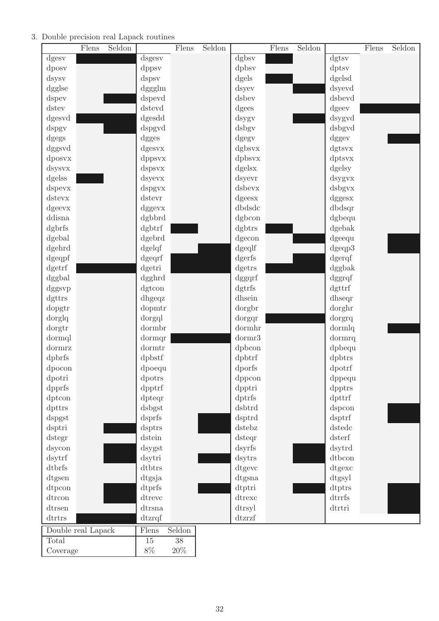### 3. Double precision real Lapack routines

|                    | Flens | Seldon |           | Flens  | Seldon |        | Flens | Seldon |              | Flens | Seldon |
|--------------------|-------|--------|-----------|--------|--------|--------|-------|--------|--------------|-------|--------|
| dgesv              |       |        | dsgesv    |        |        | dgbsv  |       |        | dgtsv        |       |        |
| dposy              |       |        | dppsy     |        |        | dpbsv  |       |        | dptsv        |       |        |
| dsysv              |       |        | dspsy     |        |        | dgels  |       |        | dgelsd       |       |        |
| dgglse             |       |        | dggglm    |        |        | dsyev  |       |        | dsyevd       |       |        |
| dspev              |       |        | dspevd    |        |        | dsbev  |       |        | dsbevd       |       |        |
| dstev              |       |        | dstevd    |        |        | dgees  |       |        | dgeev        |       |        |
| dgesvd             |       |        | dgesdd    |        |        | dsygv  |       |        | dsygvd       |       |        |
| dspgv              |       |        | dspgvd    |        |        | dsbgv  |       |        | dsbgvd       |       |        |
| dgegs              |       |        | dgges     |        |        | dgegy  |       |        | dggev        |       |        |
| dggsvd             |       |        | dgesvx    |        |        | dgbsvx |       |        | dgtsvx       |       |        |
| dposyx             |       |        | dppsvx    |        |        | dpbsvx |       |        | dptsvx       |       |        |
| dsysvx             |       |        | dspsvx    |        |        | dgelsx |       |        | dgelsy       |       |        |
| dgelss             |       |        | dsyevx    |        |        | dsyevr |       |        | dsygvx       |       |        |
| dspevx             |       |        | dspgvx    |        |        | dsbevx |       |        | dsbgvx       |       |        |
| dstevx             |       |        | dstevr    |        |        | dgeesx |       |        | dggesx       |       |        |
| dgeevx             |       |        | dggevx    |        |        | dbdsdc |       |        | dbdsqr       |       |        |
| ddisna             |       |        | dgbbrd    |        |        | dgbcon |       |        | dgbequ       |       |        |
| dgbrfs             |       |        | dgbtrf    |        |        | dgbtrs |       |        | dgebak       |       |        |
| dgebal             |       |        | dgebrd    |        |        | dgecon |       |        | dgeequ       |       |        |
| dgehrd             |       |        | dgelqf    |        |        | dgeqlf |       |        | $d$ geqp $3$ |       |        |
| dgeqpf             |       |        | dgeqrf    |        |        | dgerfs |       |        | dgerqf       |       |        |
| dgetrf             |       |        | dgetri    |        |        | dgetrs |       |        | dggbak       |       |        |
| dggbal             |       |        | dgghrd    |        |        | dggqrf |       |        | dggrqf       |       |        |
| dggsvp             |       |        | dgtcon    |        |        | dgtrfs |       |        | dgttrf       |       |        |
| dgttrs             |       |        | dhgeqz    |        |        | dhsein |       |        | dhseqr       |       |        |
| dopgtr             |       |        | dopmtr    |        |        | dorgbr |       |        | dorghr       |       |        |
| dorglq             |       |        | dorgql    |        |        | dorgqr |       |        | dorgrq       |       |        |
| dorgtr             |       |        | dormbr    |        |        | dormhr |       |        | dormlq       |       |        |
| dormql             |       |        | dormqr    |        |        | dormr3 |       |        | dormrq       |       |        |
| dormrz             |       |        | dormtr    |        |        | dpbcon |       |        | dpbequ       |       |        |
| dpbrfs             |       |        | dpbstf    |        |        | dpbtrf |       |        | dpbtrs       |       |        |
| dpocon             |       |        | dpoequ    |        |        | dporfs |       |        | dpotrf       |       |        |
| dpotri             |       |        | dpotrs    |        |        | dppcon |       |        | dppequ       |       |        |
| dpprfs             |       |        | dpptrf    |        |        | dpptri |       |        | dpptrs       |       |        |
| dptcon             |       |        | dpteqr    |        |        | dptrfs |       |        | dpttrf       |       |        |
| dpttrs             |       |        | dsbgst    |        |        | dsbtrd |       |        | dspcon       |       |        |
| dspgst             |       |        | dsprfs    |        |        | dsptrd |       |        | dsptrf       |       |        |
| dsptri             |       |        | dsptrs    |        |        | dstebz |       |        | dstedc       |       |        |
| dstegr             |       |        | dstein    |        |        | dsteqr |       |        | dsterf       |       |        |
| dsycon             |       |        | dsygst    |        |        | dsyrfs |       |        | dsytrd       |       |        |
| dsytrf             |       |        | dsytri    |        |        | dsytrs |       |        | dtbcon       |       |        |
| $d$ t $brfs$       |       |        | dtbtrs    |        |        | dtgevc |       |        | dtgexc       |       |        |
| dtgsen             |       |        | dtgsja    |        |        | dtgsna |       |        | dtgsyl       |       |        |
| dtpcon             |       |        | $d$ tprfs |        |        | dtptri |       |        | dtptrs       |       |        |
| dtrcon             |       |        | dtrevc    |        |        | dtrexc |       |        | dtrrfs       |       |        |
| dtrsen             |       |        | dtrsna    |        |        | dtrsyl |       |        | dtrtri       |       |        |
| dtrtrs             |       |        | dtzrqf    |        |        | dtzrzf |       |        |              |       |        |
| Double real Lapack |       |        | Flens     | Seldon |        |        |       |        |              |       |        |
| Total              |       |        | 15        | 38     |        |        |       |        |              |       |        |
| Coverage           |       |        | $8\%$     | $20\%$ |        |        |       |        |              |       |        |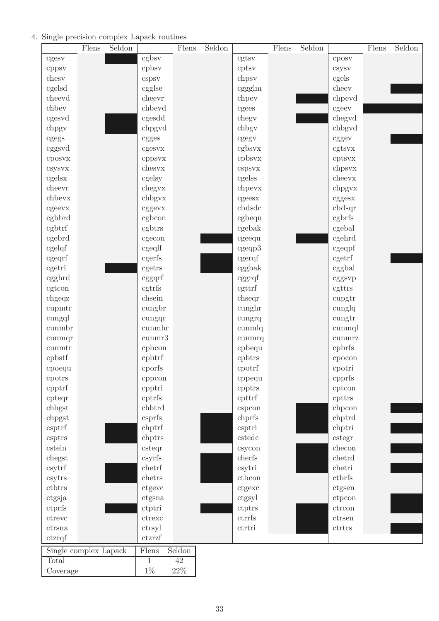## 4. Single precision complex Lapack routines

|                               | Flens | Seldon |                  | Flens  | Seldon |                              | Flens | Seldon |                  | Flens | Seldon |
|-------------------------------|-------|--------|------------------|--------|--------|------------------------------|-------|--------|------------------|-------|--------|
| cgesv                         |       |        | cgbsv            |        |        | cgtsv                        |       |        | cposy            |       |        |
| cppsv                         |       |        | cpbsv            |        |        | cptsv                        |       |        | csysv            |       |        |
| chesy                         |       |        | cspsv            |        |        | chpsy                        |       |        | cgels            |       |        |
| cgelsd                        |       |        | cgglse           |        |        | cggglm                       |       |        | cheev            |       |        |
| cheevd                        |       |        | cheevr           |        |        | chpey                        |       |        | chpevd           |       |        |
| chbev                         |       |        | chbevd           |        |        | cgees                        |       |        | cgeev            |       |        |
| cgesvd                        |       |        | cgesdd           |        |        | chegy                        |       |        | chegyd           |       |        |
| chpgy                         |       |        | chpgvd           |        |        | chbgy                        |       |        | chbgvd           |       |        |
| cgegs                         |       |        | cgges            |        |        | cgegy                        |       |        | cggev            |       |        |
| cggsvd                        |       |        | cgesvx           |        |        | cgbsvx                       |       |        | cgtsvx           |       |        |
| cposvx                        |       |        | cppsvx           |        |        | cpbsvx                       |       |        | cptsvx           |       |        |
| csysvx                        |       |        | chesyx           |        |        | cspsvx                       |       |        | chpsvx           |       |        |
| cgelsx                        |       |        | cgelsy           |        |        | cgelss                       |       |        | cheevx           |       |        |
| cheevr                        |       |        | chegyx           |        |        | chpevx                       |       |        | chpgvx           |       |        |
| chbevx                        |       |        | chbgvx           |        |        | cgeesx                       |       |        | cggesx           |       |        |
| cgeevx                        |       |        | cggevx           |        |        | cbdsdc                       |       |        | cbdsqr           |       |        |
| cgbbrd                        |       |        | cgbcon           |        |        | cgbequ                       |       |        | cgbrfs           |       |        |
| cgbtrf                        |       |        | cgbtrs           |        |        | cgebak                       |       |        | cgebal           |       |        |
| cgebrd                        |       |        | cgecon           |        |        | cgeequ                       |       |        | cgehrd           |       |        |
| cgelqf                        |       |        | cgeqlf           |        |        | cgeqp3                       |       |        | cgeqpf           |       |        |
| cgeqrf                        |       |        | cgerfs           |        |        | cgerqf                       |       |        | cgetrf           |       |        |
| cgetri                        |       |        | cgetrs           |        |        | cggbak                       |       |        | cggbal           |       |        |
| cgghrd                        |       |        | cggqrf           |        |        | cggrqf                       |       |        | cggsvp           |       |        |
| cgtcon                        |       |        | cgtrfs           |        |        | cgttrf                       |       |        | cgttrs           |       |        |
| chgeqz                        |       |        | chsein           |        |        | chseqr                       |       |        | cupgtr           |       |        |
| cupmtr                        |       |        | cungbr           |        |        | cunghr                       |       |        | cunglq           |       |        |
| cungql                        |       |        | cungqr           |        |        | cungrq                       |       |        | cungtr           |       |        |
| cunmbr                        |       |        | cunmhr           |        |        | cunmlq                       |       |        | cunmql           |       |        |
| cunmqr                        |       |        | $\rm cummr3$     |        |        | cunmrq                       |       |        | cunmrz           |       |        |
| $\text{cumurtr}$              |       |        | cpbcon           |        |        | cpbequ                       |       |        | cpbrfs           |       |        |
| cpbstf                        |       |        | cpbtrf           |        |        | cpbtrs                       |       |        |                  |       |        |
|                               |       |        | cporfs           |        |        | cpotrf                       |       |        | cpocon<br>cpotri |       |        |
| cpoequ<br>cpotrs              |       |        |                  |        |        |                              |       |        | cpprfs           |       |        |
| cpptrf                        |       |        | cppcon<br>cpptri |        |        | cppequ                       |       |        | cptcon           |       |        |
| cpteqr                        |       |        | cptrfs           |        |        | cpptrs<br>cpttrf             |       |        | cpttrs           |       |        |
| chbgst                        |       |        | chbtrd           |        |        | cspcon                       |       |        | chpcon           |       |        |
| chpgst                        |       |        | csprfs           |        |        | chprfs                       |       |        | chptrd           |       |        |
|                               |       |        | chptrf           |        |        |                              |       |        | chptri           |       |        |
| csptrf<br>csptrs              |       |        | chptrs           |        |        | csptri<br>c <sub>stedc</sub> |       |        | cstegr           |       |        |
| cstein                        |       |        | csteqr           |        |        |                              |       |        | checon           |       |        |
| chegst                        |       |        | csyrfs           |        |        | csycon<br>cherfs             |       |        | chetrd           |       |        |
|                               |       |        | chetrf           |        |        |                              |       |        | chetri           |       |        |
| csytrf                        |       |        | chetrs           |        |        | csytri<br>$\rm{ctbcon}$      |       |        | ctbrfs           |       |        |
| csytrs                        |       |        |                  |        |        |                              |       |        |                  |       |        |
| ctbtrs                        |       |        | ctgevc           |        |        | ctgexc                       |       |        | ctgsen           |       |        |
| ctgsja                        |       |        | ctgsna           |        |        | ctgsyl                       |       |        | ctpcon           |       |        |
| ctprfs                        |       |        | ctptri           |        |        | ctptrs                       |       |        | ctrcon           |       |        |
| $\,$ ctrevc                   |       |        | ctrexc           |        |        | ctrrfs                       |       |        | $\,$ ctrsen      |       |        |
| ctrsna                        |       |        | ctrsyl           |        |        | ctrtri                       |       |        | ctrtrs           |       |        |
| $ctz\text{r}\text{q}\text{f}$ |       |        | ctzrzf           |        |        |                              |       |        |                  |       |        |
| Single complex Lapack         |       |        | $\rm{Flens}$     | Seldon |        |                              |       |        |                  |       |        |
| Total                         |       |        | 1                | 42     |        |                              |       |        |                  |       |        |
| Coverage                      |       |        | $1\%$            | $22\%$ |        |                              |       |        |                  |       |        |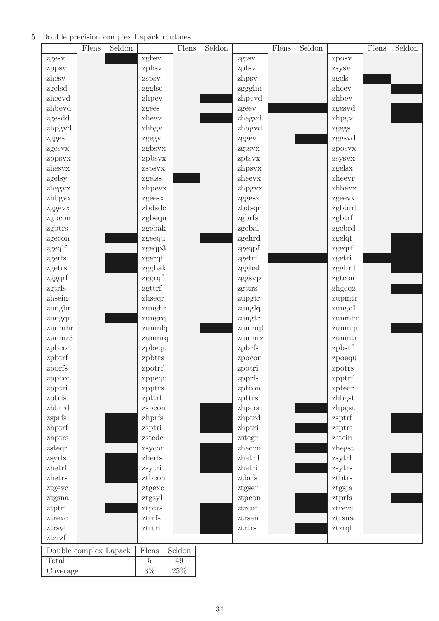## 5. Double precision complex Lapack routines

|                       | Flens | Seldon |         | Flens  | Seldon |                                  | Flens | Seldon |           | Flens | Seldon |
|-----------------------|-------|--------|---------|--------|--------|----------------------------------|-------|--------|-----------|-------|--------|
| zgesv                 |       |        | zgbsv   |        |        | zgtsv                            |       |        | zposv     |       |        |
| zppsv                 |       |        | zpbsv   |        |        | zptsv                            |       |        | zsysv     |       |        |
| zhesv                 |       |        | zspsv   |        |        | zhpsv                            |       |        | zgels     |       |        |
| zgelsd                |       |        | zgglse  |        |        | zggglm                           |       |        | zheev     |       |        |
| zheevd                |       |        | zhpev   |        |        | zhpevd                           |       |        | zhbev     |       |        |
| zhbevd                |       |        | zgees   |        |        | zgeev                            |       |        | zgesvd    |       |        |
| zgesdd                |       |        | zhegy   |        |        | zhegyd                           |       |        | zhpgv     |       |        |
| zhpgyd                |       |        | zhbgy   |        |        | zhbgyd                           |       |        | zgegs     |       |        |
| zgges                 |       |        | zgegv   |        |        | zggev                            |       |        | zggsvd    |       |        |
| zgesvx                |       |        | zgbsvx  |        |        | zgtsvx                           |       |        | zposvx    |       |        |
| zppsvx                |       |        | zpbsvx  |        |        | zptsvx                           |       |        | zsysvx    |       |        |
| zhesvx                |       |        | zspsvx  |        |        | zhpsvx                           |       |        | zgelsx    |       |        |
| zgelsy                |       |        | zgelss  |        |        | zheevx                           |       |        | zheevr    |       |        |
| zhegvx                |       |        | zhpevx  |        |        | zhpgvx                           |       |        | zhbevx    |       |        |
| zhbgyx                |       |        | zgeesx  |        |        | zggesx                           |       |        | zgeevx    |       |        |
| zggevx                |       |        | zbdsdc  |        |        | zbdsqr                           |       |        | zgbbrd    |       |        |
| zgbcon                |       |        | zgbequ  |        |        | zgbrfs                           |       |        | zgbtrf    |       |        |
| zgbtrs                |       |        | zgebak  |        |        | zgebal                           |       |        | zgebrd    |       |        |
| zgecon                |       |        | zgeequ  |        |        | zgehrd                           |       |        | zgelqf    |       |        |
| zgeqlf                |       |        | zgeqp3  |        |        | zgeqpf                           |       |        | zgeqrf    |       |        |
| zgerfs                |       |        | zgerqf  |        |        | zgetrf                           |       |        | zgetri    |       |        |
| zgetrs                |       |        | zggbak  |        |        | zggbal                           |       |        | zgghrd    |       |        |
| zggqrf                |       |        | zggrqf  |        |        | zggsvp                           |       |        | zgtcon    |       |        |
| zgtrfs                |       |        | zgttrf  |        |        | zgttrs                           |       |        | zhgeqz    |       |        |
| zhsein                |       |        | zhseqr  |        |        | zupgtr                           |       |        | zupmtr    |       |        |
| zungbr                |       |        | zunghr  |        |        | zunglq                           |       |        | zungql    |       |        |
| zungqr                |       |        | zungrq  |        |        | zungtr                           |       |        | zunmbr    |       |        |
| zunmhr                |       |        | zunmlq  |        |        | zunmql                           |       |        | zunmqr    |       |        |
| zunnm3                |       |        | zunmrq  |        |        | zunmrz                           |       |        | zunmtr    |       |        |
| zpbcon                |       |        | zpbequ  |        |        | zpbrfs                           |       |        | zpbstf    |       |        |
| zpbtrf                |       |        | zpbtrs  |        |        | zpocon                           |       |        | zpoequ    |       |        |
| zporfs                |       |        | zpotrf  |        |        | zpotri                           |       |        | zpotrs    |       |        |
| zppcon                |       |        | zppequ  |        |        | zpprfs                           |       |        | zpptrf    |       |        |
| zpptri                |       |        | zpptrs  |        |        | zptcon                           |       |        | zpteqr    |       |        |
| zptrfs                |       |        | zpttrf  |        |        | zpttrs                           |       |        | zhbgst    |       |        |
| zhbtrd                |       |        | zspcon  |        |        | zhpcon                           |       |        | zhpgst    |       |        |
| zsprfs                |       |        | zhprfs  |        |        | zhptrd                           |       |        | zsptrf    |       |        |
| zhptrf                |       |        | zsptri  |        |        | zhptri                           |       |        | zsptrs    |       |        |
| zhptrs                |       |        | zstedc  |        |        | zstegr                           |       |        | zstein    |       |        |
| zsteqr                |       |        | zsycon  |        |        | zhecon                           |       |        | zhegst    |       |        |
| zsyrfs                |       |        | zherfs  |        |        | zhetrd                           |       |        | zsytrf    |       |        |
| zhetrf                |       |        | zsytri  |        |        | zhetri                           |       |        | zsytrs    |       |        |
| zhetrs                |       |        | ztbcon  |        |        | ztbrfs                           |       |        | ztbtrs    |       |        |
| ztgevc                |       |        | ztgexc  |        |        | ztgsen                           |       |        | ztgsja    |       |        |
| ztgsna                |       |        | ztgsyl  |        |        | ztpcon                           |       |        | ztprfs    |       |        |
| ztptri                |       |        | ztptrs  |        |        | ztrcon                           |       |        | ztrevc    |       |        |
| $z$ trexc             |       |        | ztrrfs  |        |        | ztrsen                           |       |        | $z$ trsna |       |        |
| ztrsyl                |       |        | ztrtri  |        |        | z <sub>tr</sub> tr <sub>rs</sub> |       |        | ztzrqf    |       |        |
| ztzrzf                |       |        |         |        |        |                                  |       |        |           |       |        |
| Double complex Lapack |       |        | Flens   | Seldon |        |                                  |       |        |           |       |        |
| Total                 |       |        | $\bf 5$ | $49\,$ |        |                                  |       |        |           |       |        |
| Coverage              |       |        | $3\%$   | $25\%$ |        |                                  |       |        |           |       |        |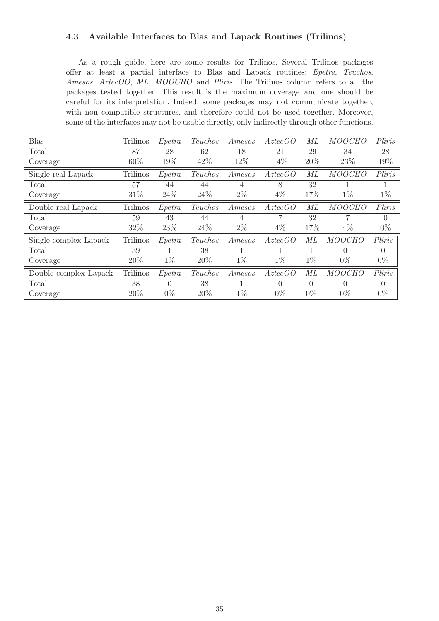#### <span id="page-35-0"></span>4.3 Available Interfaces to Blas and Lapack Routines (Trilinos)

As a rough guide, here are some results for Trilinos. Several Trilinos packages offer at least a partial interface to Blas and Lapack routines: Epetra, Teuchos, Amesos, AztecOO, ML, MOOCHO and Pliris. The Trilinos column refers to all the packages tested together. This result is the maximum coverage and one should be careful for its interpretation. Indeed, some packages may not communicate together, with non compatible structures, and therefore could not be used together. Moreover, some of the interfaces may not be usable directly, only indirectly through other functions.

| <b>Blas</b>           | Trilinos        | Epetra   | Teuchos | Amesos | $A \, \text{z} \, \text{t} \, \text{c} \, \text{c} \, O \, O$ | ML       | <b>MOOCHO</b> | Pliris   |
|-----------------------|-----------------|----------|---------|--------|---------------------------------------------------------------|----------|---------------|----------|
| Total                 | 87              | 28       | 62      | 18     | 21                                                            | 29       | 34            | 28       |
| Coverage              | 60%             | 19%      | 42%     | 12%    | 14%                                                           | 20%      | 23%           | 19%      |
| Single real Lapack    | <b>Trilinos</b> | Epetra   | Teuchos | Amesos | AztecOO                                                       | ML       | <b>MOOCHO</b> | Pliris   |
| $\text{Total}$        | 57              | 44       | 44      | 4      | 8                                                             | 32       |               |          |
| Coverage              | 31%             | 24%      | 24%     | $2\%$  | $4\%$                                                         | 17%      | $1\%$         | $1\%$    |
| Double real Lapack    | <b>Trilinos</b> | Epetra   | Teuchos | Amesos | $A$ ztec $OO$                                                 | МL       | <b>MOOCHO</b> | Pliris   |
| Total                 | 59              | 43       | 44      | 4      |                                                               | 32       | 7             | $\Omega$ |
| Coverage              | 32%             | 23\%     | 24\%    | $2\%$  | $4\%$                                                         | 17%      | $4\%$         | $0\%$    |
| Single complex Lapack | Trilinos        | Epetra   | Teuchos | Amesos | $A \, \text{z} \, \text{t} \, \text{c} \, \text{c} \, O \, O$ | МL       | <b>MOOCHO</b> | Pliris   |
| Total                 | 39              |          | 38      |        |                                                               |          | $\Omega$      | $\Omega$ |
| Coverage              | 20%             | $1\%$    | 20%     | $1\%$  | $1\%$                                                         | $1\%$    | $0\%$         | $0\%$    |
| Double complex Lapack | Trilinos        | Epetra   | Teuchos | Amesos | $A \, \text{z} \, \text{t} \, \text{c} \, \text{c} \, O \, O$ | МL       | <b>MOOCHO</b> | Pliris   |
| Total                 | 38              | $\Omega$ | 38      |        | 0                                                             | $\theta$ | $\theta$      | $\Omega$ |
| Coverage              | 20%             | $0\%$    | 20%     | $1\%$  | $0\%$                                                         | $0\%$    | $0\%$         | $0\%$    |